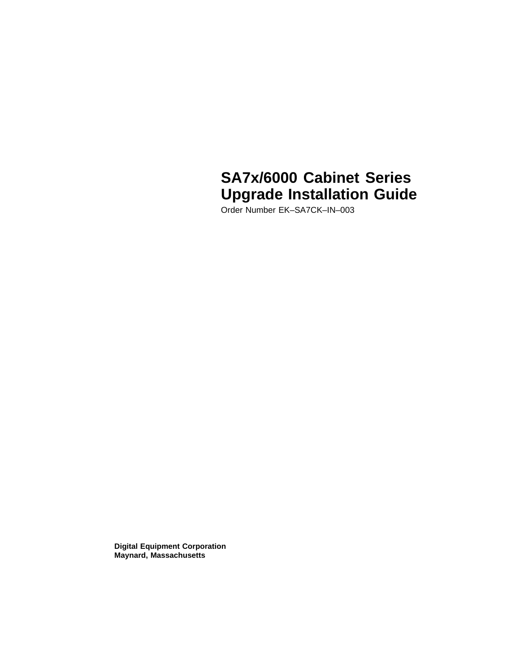# **SA7x/6000 Cabinet Series Upgrade Installation Guide**

Order Number EK–SA7CK–IN–003

**Digital Equipment Corporation Maynard, Massachusetts**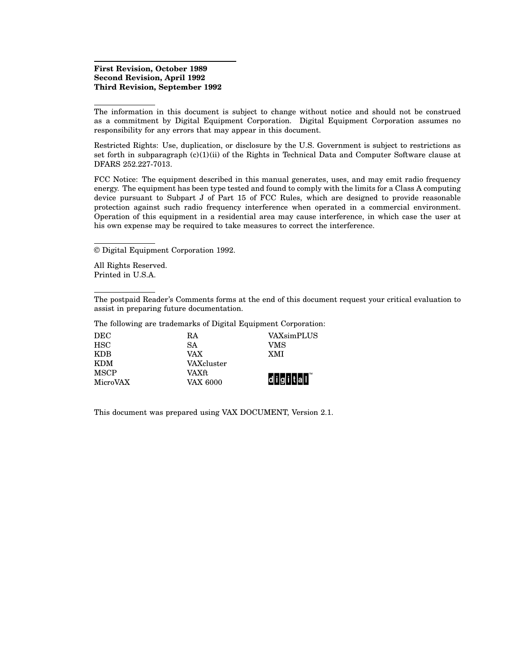#### **First Revision, October 1989 Second Revision, April 1992 Third Revision, September 1992**

The information in this document is subject to change without notice and should not be construed as a commitment by Digital Equipment Corporation. Digital Equipment Corporation assumes no responsibility for any errors that may appear in this document.

Restricted Rights: Use, duplication, or disclosure by the U.S. Government is subject to restrictions as set forth in subparagraph  $(c)(1)(ii)$  of the Rights in Technical Data and Computer Software clause at DFARS 252.227-7013.

FCC Notice: The equipment described in this manual generates, uses, and may emit radio frequency energy. The equipment has been type tested and found to comply with the limits for a Class A computing device pursuant to Subpart J of Part 15 of FCC Rules, which are designed to provide reasonable protection against such radio frequency interference when operated in a commercial environment. Operation of this equipment in a residential area may cause interference, in which case the user at his own expense may be required to take measures to correct the interference.

© Digital Equipment Corporation 1992.

All Rights Reserved. Printed in U.S.A.

The postpaid Reader's Comments forms at the end of this document request your critical evaluation to assist in preparing future documentation.

The following are trademarks of Digital Equipment Corporation:

| <b>DEC</b>  | RA         | VAXsimPLUS    |
|-------------|------------|---------------|
| <b>HSC</b>  | SA         | VMS           |
| KDB         | VAX        | <b>XMI</b>    |
| KDM         | VAXcluster |               |
| <b>MSCP</b> | VAXft      |               |
| MicroVAX    | VAX 6000   | d i g i t a I |

This document was prepared using VAX DOCUMENT, Version 2.1.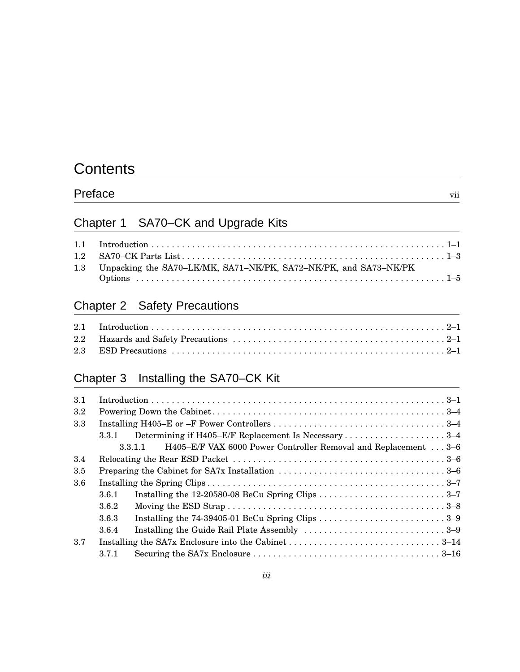# **Contents**

| Preface | $\cdot$ $\cdot$<br>V11 |
|---------|------------------------|
|         |                        |

# Chapter 1 SA70–CK and Upgrade Kits

| 1.3 Unpacking the SA70–LK/MK, SA71–NK/PK, SA72–NK/PK, and SA73–NK/PK |  |
|----------------------------------------------------------------------|--|

# Chapter 2 Safety Precautions

# Chapter 3 Installing the SA70–CK Kit

| 3.1 |       |                                                                           |
|-----|-------|---------------------------------------------------------------------------|
| 3.2 |       |                                                                           |
| 3.3 |       |                                                                           |
|     | 3.3.1 | Determining if H405–E/F Replacement Is Necessary 3–4                      |
|     |       | H405-E/F VAX 6000 Power Controller Removal and Replacement 3-6<br>3.3.1.1 |
| 3.4 |       |                                                                           |
| 3.5 |       |                                                                           |
| 3.6 |       |                                                                           |
|     | 3.6.1 |                                                                           |
|     | 3.6.2 |                                                                           |
|     | 3.6.3 |                                                                           |
|     | 3.6.4 |                                                                           |
| 3.7 |       |                                                                           |
|     | 371   |                                                                           |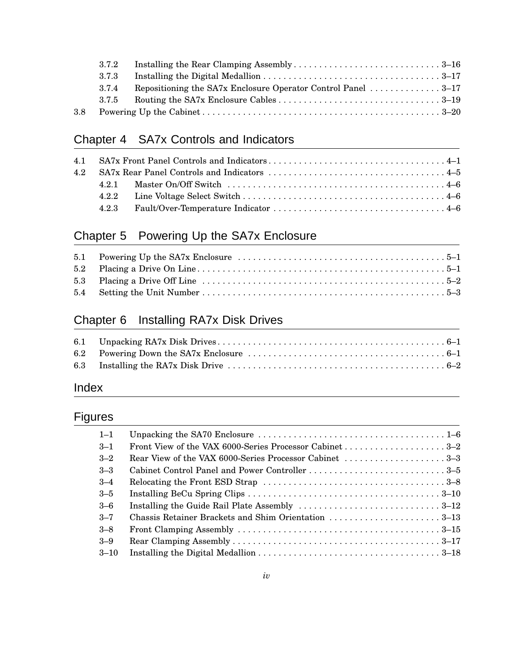| 3.7.2 |                                                              |  |
|-------|--------------------------------------------------------------|--|
| 3.7.3 |                                                              |  |
| 3.7.4 | Repositioning the SA7x Enclosure Operator Control Panel 3–17 |  |
| 3.7.5 |                                                              |  |
|       |                                                              |  |

# Chapter 4 SA7x Controls and Indicators

# Chapter 5 Powering Up the SA7x Enclosure

# Chapter 6 Installing RA7x Disk Drives

# Index

# Figures

| $1 - 1$  |                                                        |
|----------|--------------------------------------------------------|
| $-3-1$   |                                                        |
| $3 - 2$  | Rear View of the VAX 6000-Series Processor Cabinet 3–3 |
| $3 - 3$  |                                                        |
| $3 - 4$  |                                                        |
| $3 - 5$  |                                                        |
| $-3-6$   |                                                        |
| $3 - 7$  | Chassis Retainer Brackets and Shim Orientation 3–13    |
| $3 - 8$  |                                                        |
| $3 - 9$  |                                                        |
| $3 - 10$ |                                                        |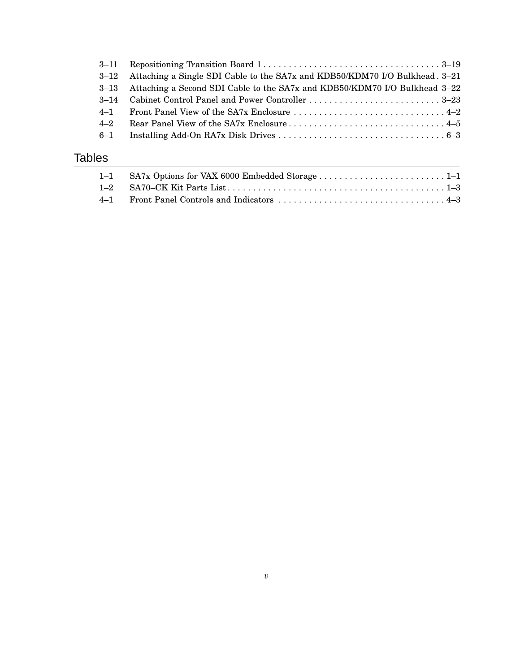|         | $3-11$ Repositioning Transition Board $1, \ldots, \ldots, \ldots, \ldots, \ldots, \ldots, \ldots, \ldots, 3-19$ |  |
|---------|-----------------------------------------------------------------------------------------------------------------|--|
|         | 3–12 Attaching a Single SDI Cable to the SA7x and KDB50/KDM70 I/O Bulkhead. 3–21                                |  |
|         | 3–13 Attaching a Second SDI Cable to the SA7x and KDB50/KDM70 I/O Bulkhead 3–22                                 |  |
|         |                                                                                                                 |  |
|         |                                                                                                                 |  |
| $4 - 2$ |                                                                                                                 |  |
|         |                                                                                                                 |  |
|         |                                                                                                                 |  |

# Tables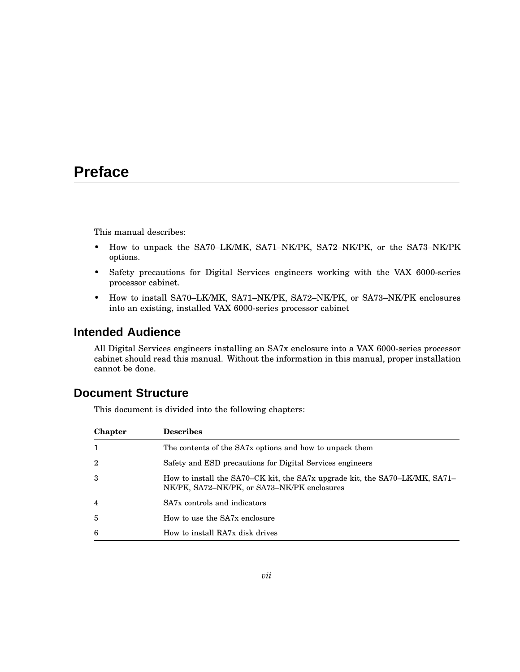# **Preface**

This manual describes:

- How to unpack the SA70–LK/MK, SA71–NK/PK, SA72–NK/PK, or the SA73–NK/PK options.
- Safety precautions for Digital Services engineers working with the VAX 6000-series processor cabinet.
- How to install SA70–LK/MK, SA71–NK/PK, SA72–NK/PK, or SA73–NK/PK enclosures into an existing, installed VAX 6000-series processor cabinet

# **Intended Audience**

All Digital Services engineers installing an SA7x enclosure into a VAX 6000-series processor cabinet should read this manual. Without the information in this manual, proper installation cannot be done.

## **Document Structure**

This document is divided into the following chapters:

| <b>Chapter</b> | <b>Describes</b>                                                                                                           |
|----------------|----------------------------------------------------------------------------------------------------------------------------|
| 1              | The contents of the SA7x options and how to unpack them                                                                    |
| $\overline{2}$ | Safety and ESD precautions for Digital Services engineers                                                                  |
| 3              | How to install the SA70–CK kit, the SA7x upgrade kit, the SA70–LK/MK, SA71–<br>NK/PK, SA72–NK/PK, or SA73–NK/PK enclosures |
| 4              | SA7x controls and indicators                                                                                               |
| $\overline{5}$ | How to use the SA7x enclosure                                                                                              |
| 6              | How to install RA7x disk drives                                                                                            |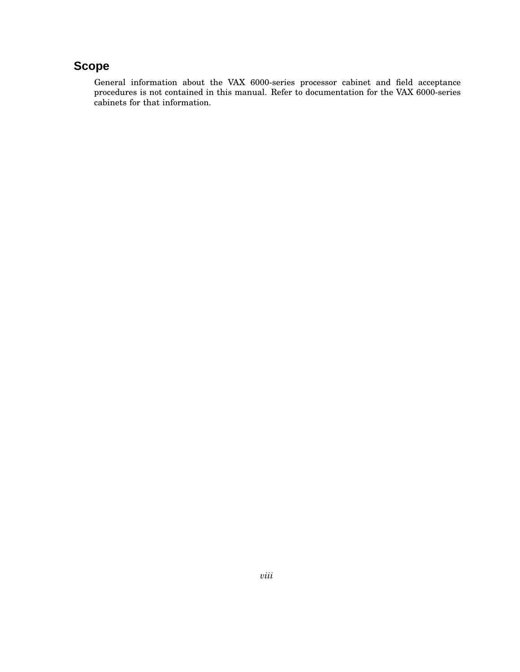# **Scope**

General information about the VAX 6000-series processor cabinet and field acceptance procedures is not contained in this manual. Refer to documentation for the VAX 6000-series cabinets for that information.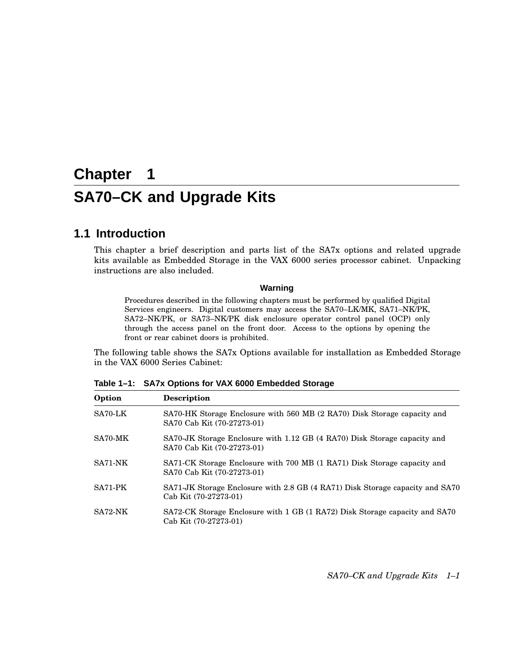# **Chapter 1 SA70–CK and Upgrade Kits**

## **1.1 Introduction**

This chapter a brief description and parts list of the SA7x options and related upgrade kits available as Embedded Storage in the VAX 6000 series processor cabinet. Unpacking instructions are also included.

#### **Warning**

Procedures described in the following chapters must be performed by qualified Digital Services engineers. Digital customers may access the SA70–LK/MK, SA71–NK/PK, SA72–NK/PK, or SA73–NK/PK disk enclosure operator control panel (OCP) only through the access panel on the front door. Access to the options by opening the front or rear cabinet doors is prohibited.

The following table shows the SA7x Options available for installation as Embedded Storage in the VAX 6000 Series Cabinet:

**Table 1–1: SA7x Options for VAX 6000 Embedded Storage**

| Option  | <b>Description</b>                                                                                      |
|---------|---------------------------------------------------------------------------------------------------------|
| SA70-LK | SA70-HK Storage Enclosure with 560 MB (2 RA70) Disk Storage capacity and<br>SA70 Cab Kit (70-27273-01)  |
| SA70-MK | SA70-JK Storage Enclosure with 1.12 GB (4 RA70) Disk Storage capacity and<br>SA70 Cab Kit (70-27273-01) |
| SA71-NK | SA71-CK Storage Enclosure with 700 MB (1 RA71) Disk Storage capacity and<br>SA70 Cab Kit (70-27273-01)  |
| SA71-PK | SA71-JK Storage Enclosure with 2.8 GB (4 RA71) Disk Storage capacity and SA70<br>Cab Kit (70-27273-01)  |
| SA72-NK | SA72-CK Storage Enclosure with 1 GB (1 RA72) Disk Storage capacity and SA70<br>Cab Kit (70-27273-01)    |

*SA70–CK and Upgrade Kits 1–1*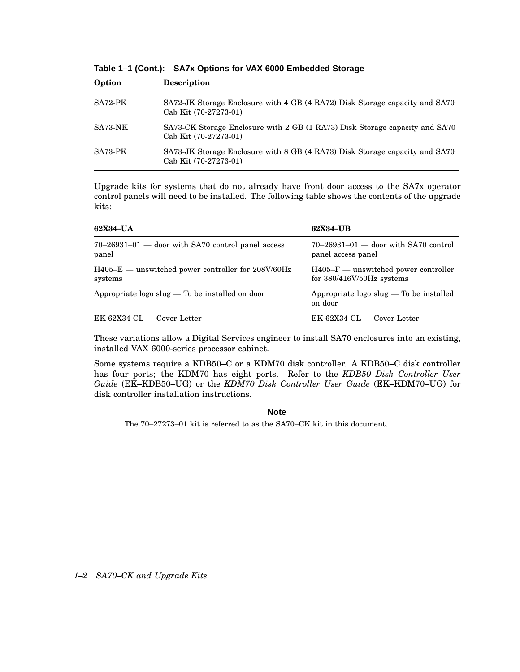**Table 1–1 (Cont.): SA7x Options for VAX 6000 Embedded Storage**

| Option  | <b>Description</b>                                                                                   |
|---------|------------------------------------------------------------------------------------------------------|
| SA72-PK | SA72-JK Storage Enclosure with 4 GB (4 RA72) Disk Storage capacity and SA70<br>Cab Kit (70-27273-01) |
| SA73-NK | SA73-CK Storage Enclosure with 2 GB (1 RA73) Disk Storage capacity and SA70<br>Cab Kit (70-27273-01) |
| SA73-PK | SA73-JK Storage Enclosure with 8 GB (4 RA73) Disk Storage capacity and SA70<br>Cab Kit (70-27273-01) |

Upgrade kits for systems that do not already have front door access to the SA7x operator control panels will need to be installed. The following table shows the contents of the upgrade kits:

| 62X34-UA                                                        | 62X34-UB                                                              |
|-----------------------------------------------------------------|-----------------------------------------------------------------------|
| $70-26931-01$ — door with SA70 control panel access<br>panel    | $70-26931-01$ — door with SA70 control<br>panel access panel          |
| $H405-E$ — unswitched power controller for 208V/60Hz<br>systems | $H405-F$ — unswitched power controller<br>for $380/416V/50Hz$ systems |
| Appropriate $\log$ slug $-$ To be installed on door             | Appropriate $\log$ slug $-$ To be installed<br>on door                |
| $EK-62X34-CL$ — Cover Letter                                    | $EK-62X34-CL$ — Cover Letter                                          |

These variations allow a Digital Services engineer to install SA70 enclosures into an existing, installed VAX 6000-series processor cabinet.

Some systems require a KDB50–C or a KDM70 disk controller. A KDB50–C disk controller has four ports; the KDM70 has eight ports. Refer to the *KDB50 Disk Controller User Guide* (EK–KDB50–UG) or the *KDM70 Disk Controller User Guide* (EK–KDM70–UG) for disk controller installation instructions.

#### **Note**

The 70–27273–01 kit is referred to as the SA70–CK kit in this document.

*1–2 SA70–CK and Upgrade Kits*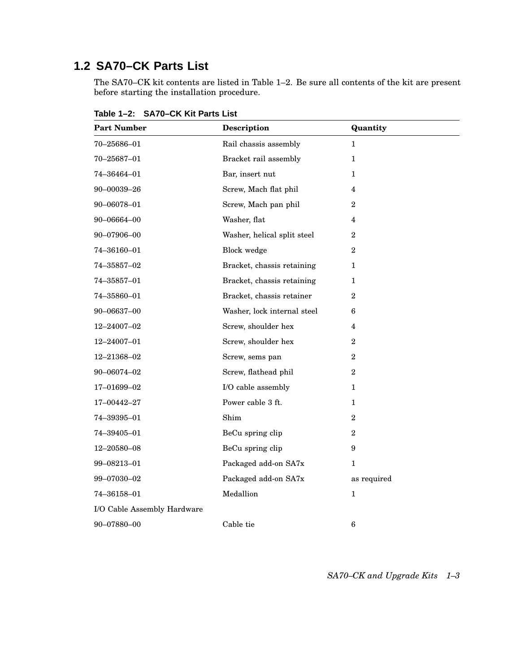# **1.2 SA70–CK Parts List**

The SA70–CK kit contents are listed in Table 1–2. Be sure all contents of the kit are present before starting the installation procedure.

| <b>Part Number</b>          | Description                 | Quantity                |
|-----------------------------|-----------------------------|-------------------------|
| $70 - 25686 - 01$           | Rail chassis assembly       | $\mathbf{1}$            |
| 70-25687-01                 | Bracket rail assembly       | $\mathbf 1$             |
| 74–36464–01                 | Bar, insert nut             | 1                       |
| 90-00039-26                 | Screw, Mach flat phil       | 4                       |
| 90-06078-01                 | Screw, Mach pan phil        | $\overline{2}$          |
| 90-06664-00                 | Washer, flat                | 4                       |
| 90-07906-00                 | Washer, helical split steel | $\mathbf{2}$            |
| 74–36160–01                 | <b>Block</b> wedge          | $\overline{2}$          |
| 74-35857-02                 | Bracket, chassis retaining  | 1                       |
| 74-35857-01                 | Bracket, chassis retaining  | $\mathbf{1}$            |
| 74-35860-01                 | Bracket, chassis retainer   | $\overline{2}$          |
| 90-06637-00                 | Washer, lock internal steel | 6                       |
| 12-24007-02                 | Screw, shoulder hex         | $\overline{\mathbf{4}}$ |
| 12-24007-01                 | Screw, shoulder hex         | $\overline{2}$          |
| 12-21368-02                 | Screw, sems pan             | $\overline{2}$          |
| 90-06074-02                 | Screw, flathead phil        | $\overline{2}$          |
| 17-01699-02                 | I/O cable assembly          | 1                       |
| 17-00442-27                 | Power cable 3 ft.           | 1                       |
| 74-39395-01                 | Shim                        | $\overline{2}$          |
| 74–39405–01                 | BeCu spring clip            | $\overline{2}$          |
| 12-20580-08                 | BeCu spring clip            | 9                       |
| 99-08213-01                 | Packaged add-on SA7x        | $\mathbf{1}$            |
| 99-07030-02                 | Packaged add-on SA7x        | as required             |
| 74-36158-01                 | Medallion                   | $\mathbf{1}$            |
| I/O Cable Assembly Hardware |                             |                         |
| 90-07880-00                 | Cable tie                   | 6                       |

**Table 1–2: SA70–CK Kit Parts List**

*SA70–CK and Upgrade Kits 1–3*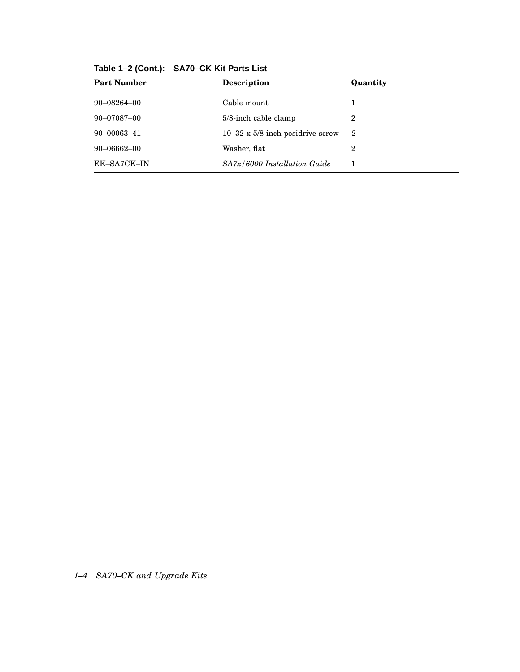| Table 1-2 (Cont.): SA70-CK Kit Parts List |  |  |  |  |  |
|-------------------------------------------|--|--|--|--|--|
|-------------------------------------------|--|--|--|--|--|

| <b>Part Number</b> | Description                              | Quantity       |
|--------------------|------------------------------------------|----------------|
| $90 - 08264 - 00$  | Cable mount                              | 1              |
| 90-07087-00        | $5/8$ -inch cable clamp                  | 2              |
| 90-00063-41        | $10-32 \times 5/8$ -inch posidrive screw | $\overline{2}$ |
| $90 - 06662 - 00$  | Washer, flat                             | 2              |
| EK-SA7CK-IN        | $SA7x/6000$ Installation Guide           |                |

*1–4 SA70–CK and Upgrade Kits*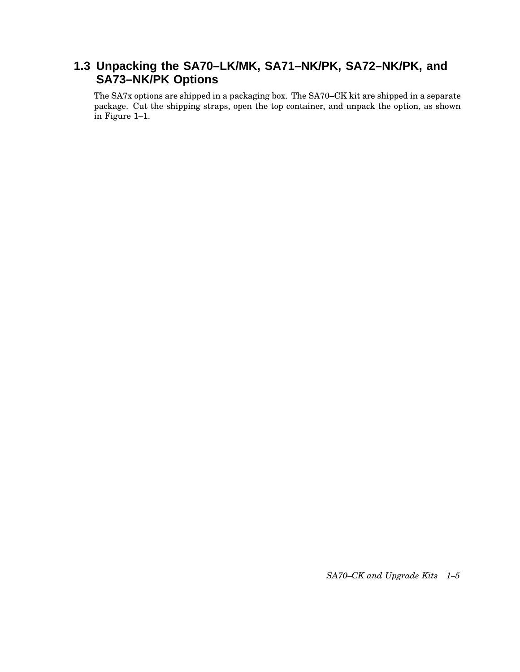# **1.3 Unpacking the SA70–LK/MK, SA71–NK/PK, SA72–NK/PK, and SA73–NK/PK Options**

The SA7x options are shipped in a packaging box. The SA70–CK kit are shipped in a separate package. Cut the shipping straps, open the top container, and unpack the option, as shown in Figure 1–1.

*SA70–CK and Upgrade Kits 1–5*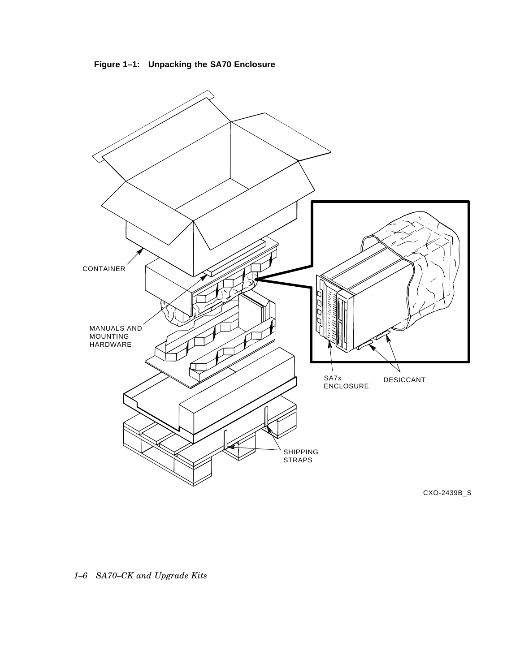**Figure 1–1: Unpacking the SA70 Enclosure**



CXO-2439B\_S

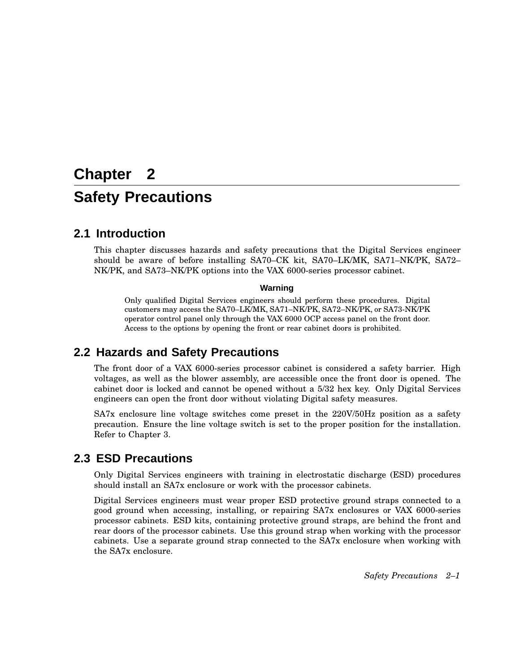# **Chapter 2 Safety Precautions**

## **2.1 Introduction**

This chapter discusses hazards and safety precautions that the Digital Services engineer should be aware of before installing SA70–CK kit, SA70–LK/MK, SA71–NK/PK, SA72– NK/PK, and SA73–NK/PK options into the VAX 6000-series processor cabinet.

#### **Warning**

Only qualified Digital Services engineers should perform these procedures. Digital customers may access the SA70–LK/MK, SA71–NK/PK, SA72–NK/PK, or SA73-NK/PK operator control panel only through the VAX 6000 OCP access panel on the front door. Access to the options by opening the front or rear cabinet doors is prohibited.

## **2.2 Hazards and Safety Precautions**

The front door of a VAX 6000-series processor cabinet is considered a safety barrier. High voltages, as well as the blower assembly, are accessible once the front door is opened. The cabinet door is locked and cannot be opened without a 5/32 hex key. Only Digital Services engineers can open the front door without violating Digital safety measures.

SA7x enclosure line voltage switches come preset in the 220V/50Hz position as a safety precaution. Ensure the line voltage switch is set to the proper position for the installation. Refer to Chapter 3.

## **2.3 ESD Precautions**

Only Digital Services engineers with training in electrostatic discharge (ESD) procedures should install an SA7x enclosure or work with the processor cabinets.

Digital Services engineers must wear proper ESD protective ground straps connected to a good ground when accessing, installing, or repairing SA7x enclosures or VAX 6000-series processor cabinets. ESD kits, containing protective ground straps, are behind the front and rear doors of the processor cabinets. Use this ground strap when working with the processor cabinets. Use a separate ground strap connected to the SA7x enclosure when working with the SA7x enclosure.

*Safety Precautions 2–1*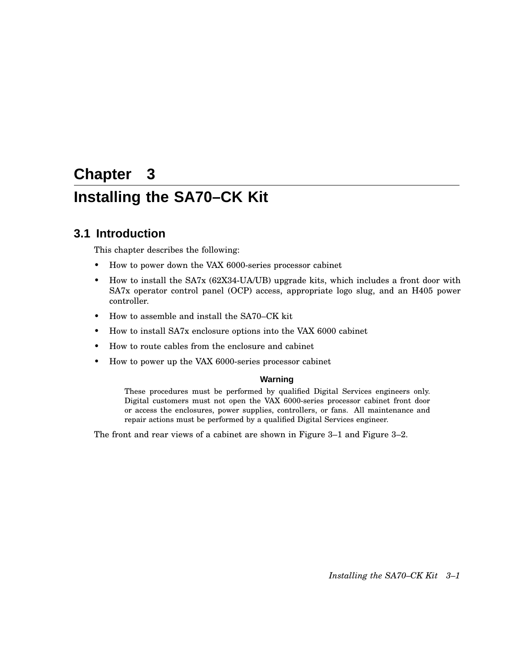# **Chapter 3 Installing the SA70–CK Kit**

## **3.1 Introduction**

This chapter describes the following:

- How to power down the VAX 6000-series processor cabinet
- How to install the SA7x (62X34-UA/UB) upgrade kits, which includes a front door with SA7x operator control panel (OCP) access, appropriate logo slug, and an H405 power controller.
- How to assemble and install the SA70–CK kit
- How to install SA7x enclosure options into the VAX 6000 cabinet
- How to route cables from the enclosure and cabinet
- How to power up the VAX 6000-series processor cabinet

#### **Warning**

These procedures must be performed by qualified Digital Services engineers only. Digital customers must not open the VAX 6000-series processor cabinet front door or access the enclosures, power supplies, controllers, or fans. All maintenance and repair actions must be performed by a qualified Digital Services engineer.

The front and rear views of a cabinet are shown in Figure 3–1 and Figure 3–2.

*Installing the SA70–CK Kit 3–1*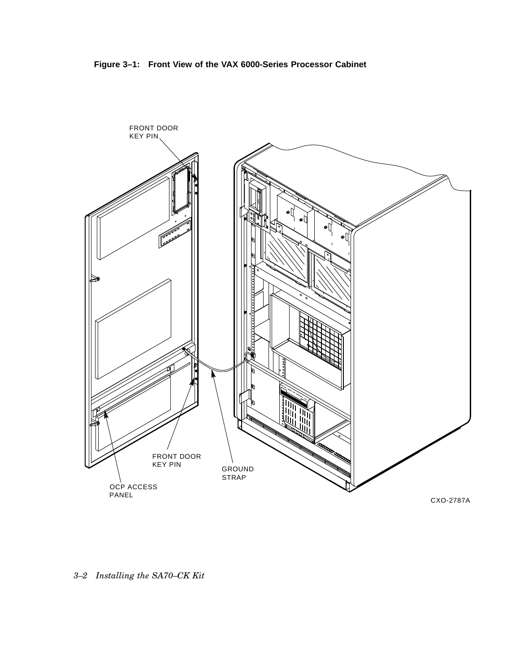



*3–2 Installing the SA70–CK Kit*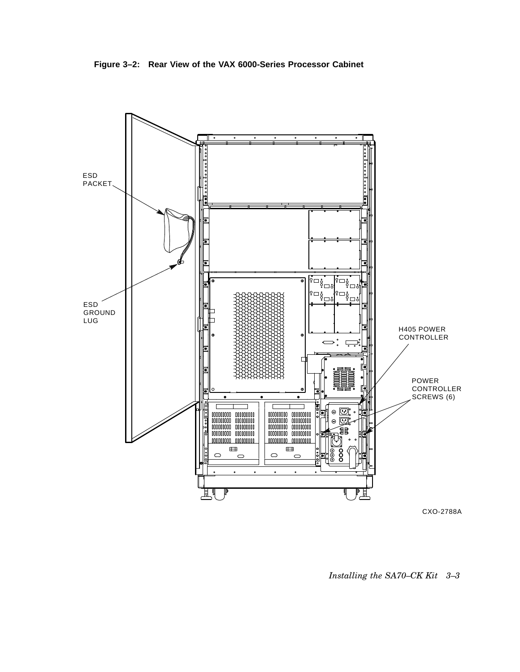**Figure 3–2: Rear View of the VAX 6000-Series Processor Cabinet**



*Installing the SA70–CK Kit 3–3*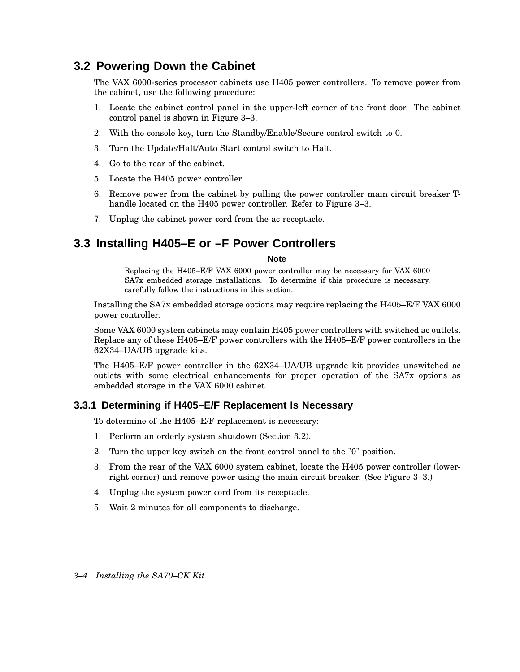# **3.2 Powering Down the Cabinet**

The VAX 6000-series processor cabinets use H405 power controllers. To remove power from the cabinet, use the following procedure:

- 1. Locate the cabinet control panel in the upper-left corner of the front door. The cabinet control panel is shown in Figure 3–3.
- 2. With the console key, turn the Standby/Enable/Secure control switch to 0.
- 3. Turn the Update/Halt/Auto Start control switch to Halt.
- 4. Go to the rear of the cabinet.
- 5. Locate the H405 power controller.
- 6. Remove power from the cabinet by pulling the power controller main circuit breaker Thandle located on the H405 power controller. Refer to Figure 3–3.
- 7. Unplug the cabinet power cord from the ac receptacle.

# **3.3 Installing H405–E or –F Power Controllers**

#### **Note**

Replacing the H405–E/F VAX 6000 power controller may be necessary for VAX 6000 SA7x embedded storage installations. To determine if this procedure is necessary, carefully follow the instructions in this section.

Installing the SA7x embedded storage options may require replacing the H405–E/F VAX 6000 power controller.

Some VAX 6000 system cabinets may contain H405 power controllers with switched ac outlets. Replace any of these H405–E/F power controllers with the H405–E/F power controllers in the 62X34–UA/UB upgrade kits.

The H405–E/F power controller in the 62X34–UA/UB upgrade kit provides unswitched ac outlets with some electrical enhancements for proper operation of the SA7x options as embedded storage in the VAX 6000 cabinet.

### **3.3.1 Determining if H405–E/F Replacement Is Necessary**

To determine of the H405–E/F replacement is necessary:

- 1. Perform an orderly system shutdown (Section 3.2).
- 2. Turn the upper key switch on the front control panel to the "0" position.
- 3. From the rear of the VAX 6000 system cabinet, locate the H405 power controller (lowerright corner) and remove power using the main circuit breaker. (See Figure 3–3.)
- 4. Unplug the system power cord from its receptacle.
- 5. Wait 2 minutes for all components to discharge.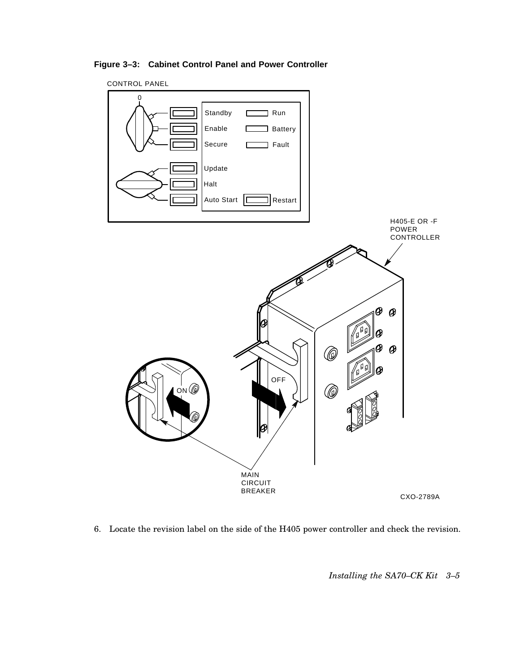**Figure 3–3: Cabinet Control Panel and Power Controller**



6. Locate the revision label on the side of the H405 power controller and check the revision.

*Installing the SA70–CK Kit 3–5*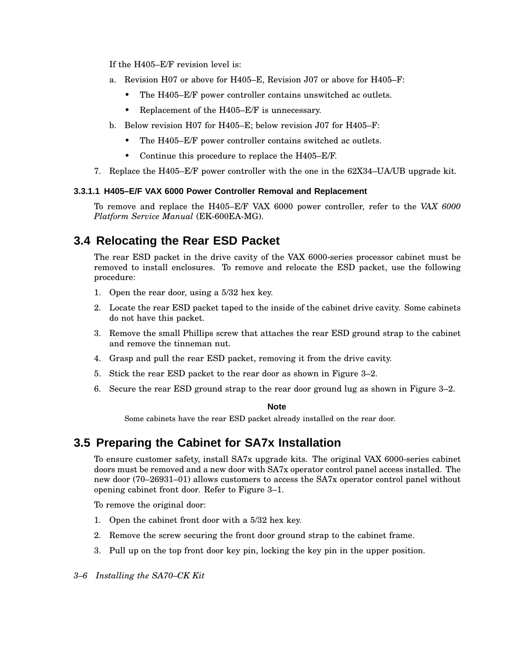If the H405–E/F revision level is:

- a. Revision H07 or above for H405–E, Revision J07 or above for H405–F:
	- The H405–E/F power controller contains unswitched ac outlets.
	- Replacement of the H405–E/F is unnecessary.
- b. Below revision H07 for H405–E; below revision J07 for H405–F:
	- The H405–E/F power controller contains switched ac outlets.
	- Continue this procedure to replace the H405–E/F.
- 7. Replace the H405–E/F power controller with the one in the 62X34–UA/UB upgrade kit.

#### **3.3.1.1 H405–E/F VAX 6000 Power Controller Removal and Replacement**

To remove and replace the H405–E/F VAX 6000 power controller, refer to the *VAX 6000 Platform Service Manual* (EK-600EA-MG).

# **3.4 Relocating the Rear ESD Packet**

The rear ESD packet in the drive cavity of the VAX 6000-series processor cabinet must be removed to install enclosures. To remove and relocate the ESD packet, use the following procedure:

- 1. Open the rear door, using a 5/32 hex key.
- 2. Locate the rear ESD packet taped to the inside of the cabinet drive cavity. Some cabinets do not have this packet.
- 3. Remove the small Phillips screw that attaches the rear ESD ground strap to the cabinet and remove the tinneman nut.
- 4. Grasp and pull the rear ESD packet, removing it from the drive cavity.
- 5. Stick the rear ESD packet to the rear door as shown in Figure 3–2.
- 6. Secure the rear ESD ground strap to the rear door ground lug as shown in Figure 3–2.

#### **Note**

Some cabinets have the rear ESD packet already installed on the rear door.

## **3.5 Preparing the Cabinet for SA7x Installation**

To ensure customer safety, install SA7x upgrade kits. The original VAX 6000-series cabinet doors must be removed and a new door with SA7x operator control panel access installed. The new door (70–26931–01) allows customers to access the SA7x operator control panel without opening cabinet front door. Refer to Figure 3–1.

To remove the original door:

- 1. Open the cabinet front door with a 5/32 hex key.
- 2. Remove the screw securing the front door ground strap to the cabinet frame.
- 3. Pull up on the top front door key pin, locking the key pin in the upper position.
- *3–6 Installing the SA70–CK Kit*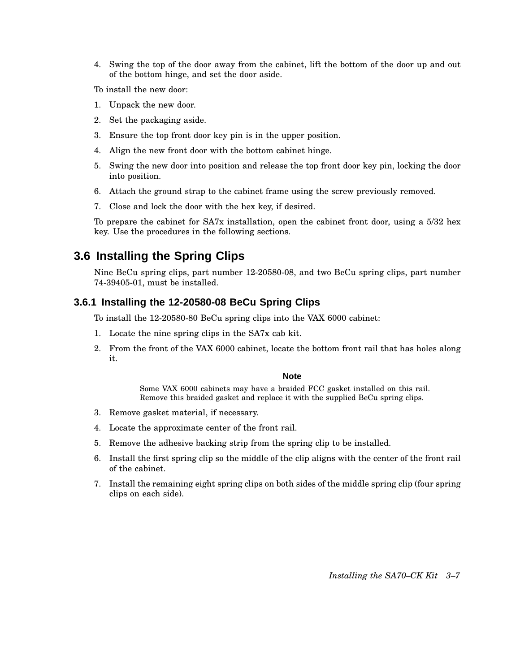4. Swing the top of the door away from the cabinet, lift the bottom of the door up and out of the bottom hinge, and set the door aside.

To install the new door:

- 1. Unpack the new door.
- 2. Set the packaging aside.
- 3. Ensure the top front door key pin is in the upper position.
- 4. Align the new front door with the bottom cabinet hinge.
- 5. Swing the new door into position and release the top front door key pin, locking the door into position.
- 6. Attach the ground strap to the cabinet frame using the screw previously removed.
- 7. Close and lock the door with the hex key, if desired.

To prepare the cabinet for SA7x installation, open the cabinet front door, using a 5/32 hex key. Use the procedures in the following sections.

# **3.6 Installing the Spring Clips**

Nine BeCu spring clips, part number 12-20580-08, and two BeCu spring clips, part number 74-39405-01, must be installed.

### **3.6.1 Installing the 12-20580-08 BeCu Spring Clips**

To install the 12-20580-80 BeCu spring clips into the VAX 6000 cabinet:

- 1. Locate the nine spring clips in the SA7x cab kit.
- 2. From the front of the VAX 6000 cabinet, locate the bottom front rail that has holes along it.

### **Note**

Some VAX 6000 cabinets may have a braided FCC gasket installed on this rail. Remove this braided gasket and replace it with the supplied BeCu spring clips.

- 3. Remove gasket material, if necessary.
- 4. Locate the approximate center of the front rail.
- 5. Remove the adhesive backing strip from the spring clip to be installed.
- 6. Install the first spring clip so the middle of the clip aligns with the center of the front rail of the cabinet.
- 7. Install the remaining eight spring clips on both sides of the middle spring clip (four spring clips on each side).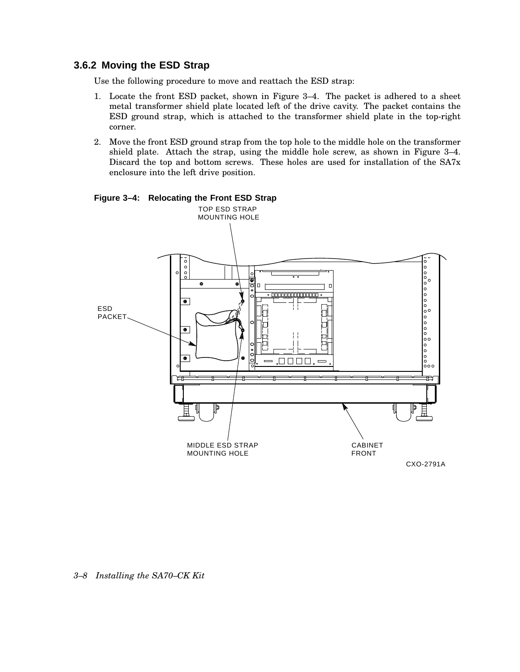### **3.6.2 Moving the ESD Strap**

Use the following procedure to move and reattach the ESD strap:

- 1. Locate the front ESD packet, shown in Figure 3–4. The packet is adhered to a sheet metal transformer shield plate located left of the drive cavity. The packet contains the ESD ground strap, which is attached to the transformer shield plate in the top-right corner.
- 2. Move the front ESD ground strap from the top hole to the middle hole on the transformer shield plate. Attach the strap, using the middle hole screw, as shown in Figure 3–4. Discard the top and bottom screws. These holes are used for installation of the SA7x enclosure into the left drive position.



#### **Figure 3–4: Relocating the Front ESD Strap**

*3–8 Installing the SA70–CK Kit*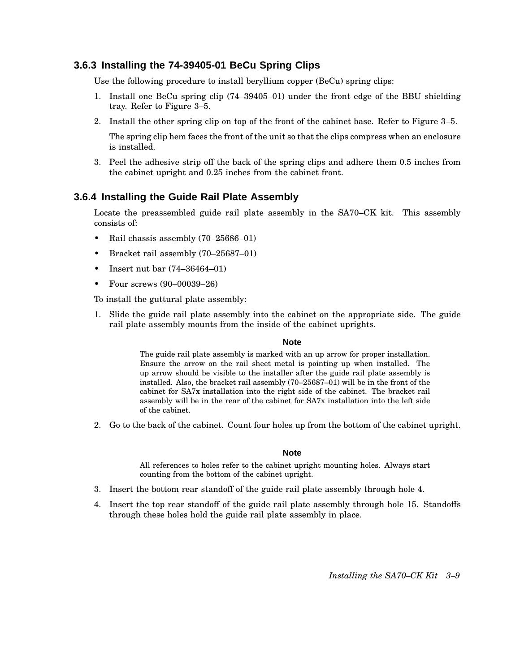### **3.6.3 Installing the 74-39405-01 BeCu Spring Clips**

Use the following procedure to install beryllium copper (BeCu) spring clips:

- 1. Install one BeCu spring clip (74–39405–01) under the front edge of the BBU shielding tray. Refer to Figure 3–5.
- 2. Install the other spring clip on top of the front of the cabinet base. Refer to Figure 3–5.

The spring clip hem faces the front of the unit so that the clips compress when an enclosure is installed.

3. Peel the adhesive strip off the back of the spring clips and adhere them 0.5 inches from the cabinet upright and 0.25 inches from the cabinet front.

#### **3.6.4 Installing the Guide Rail Plate Assembly**

Locate the preassembled guide rail plate assembly in the SA70–CK kit. This assembly consists of:

- Rail chassis assembly (70–25686–01)
- Bracket rail assembly (70–25687–01)
- Insert nut bar (74–36464–01)
- Four screws (90–00039–26)

To install the guttural plate assembly:

1. Slide the guide rail plate assembly into the cabinet on the appropriate side. The guide rail plate assembly mounts from the inside of the cabinet uprights.

#### **Note**

The guide rail plate assembly is marked with an up arrow for proper installation. Ensure the arrow on the rail sheet metal is pointing up when installed. The up arrow should be visible to the installer after the guide rail plate assembly is installed. Also, the bracket rail assembly (70–25687–01) will be in the front of the cabinet for SA7x installation into the right side of the cabinet. The bracket rail assembly will be in the rear of the cabinet for SA7x installation into the left side of the cabinet.

2. Go to the back of the cabinet. Count four holes up from the bottom of the cabinet upright.

#### **Note**

All references to holes refer to the cabinet upright mounting holes. Always start counting from the bottom of the cabinet upright.

- 3. Insert the bottom rear standoff of the guide rail plate assembly through hole 4.
- 4. Insert the top rear standoff of the guide rail plate assembly through hole 15. Standoffs through these holes hold the guide rail plate assembly in place.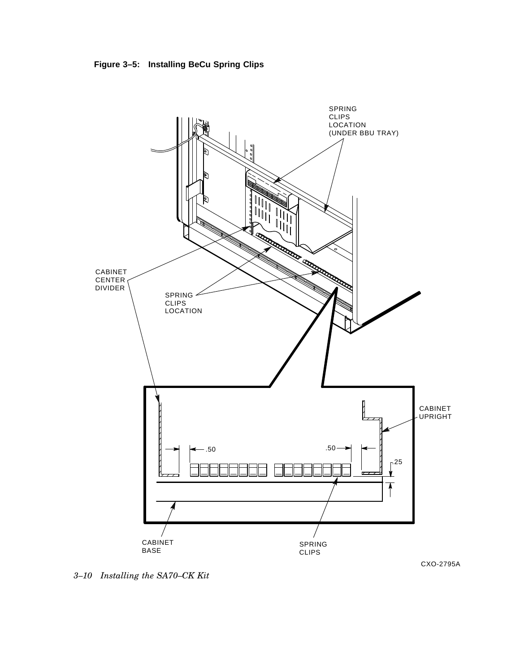**Figure 3–5: Installing BeCu Spring Clips**



*3–10 Installing the SA70–CK Kit*

CXO-2795A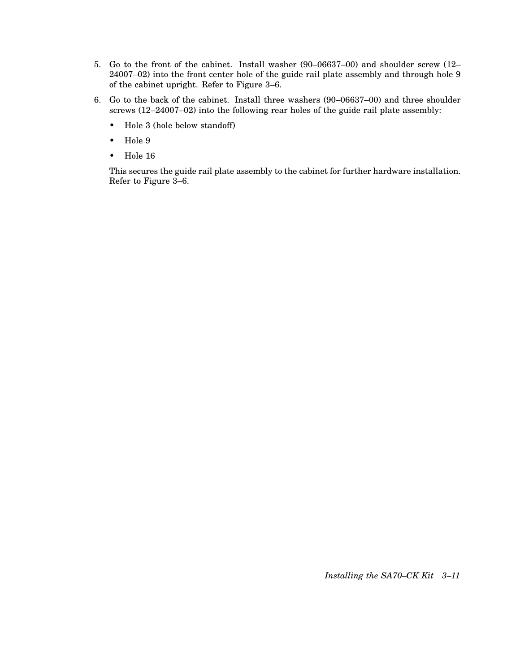- 5. Go to the front of the cabinet. Install washer (90–06637–00) and shoulder screw (12– 24007–02) into the front center hole of the guide rail plate assembly and through hole 9 of the cabinet upright. Refer to Figure 3–6.
- 6. Go to the back of the cabinet. Install three washers (90–06637–00) and three shoulder screws (12–24007–02) into the following rear holes of the guide rail plate assembly:
	- Hole 3 (hole below standoff)
	- Hole 9
	- Hole 16

This secures the guide rail plate assembly to the cabinet for further hardware installation. Refer to Figure 3–6.

*Installing the SA70–CK Kit 3–11*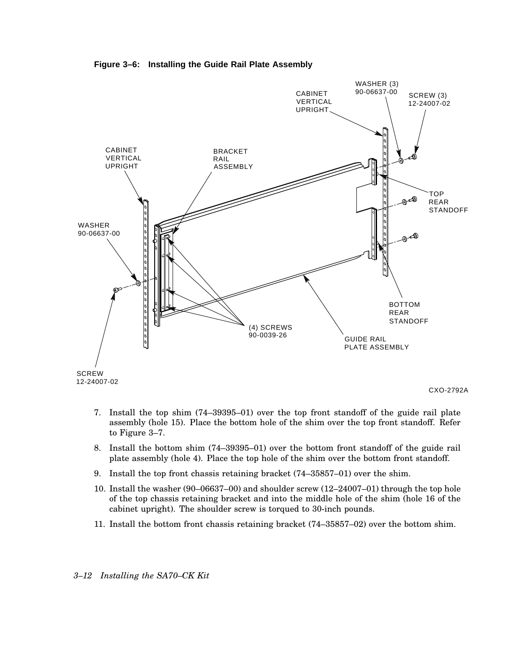**Figure 3–6: Installing the Guide Rail Plate Assembly**



- 7. Install the top shim (74–39395–01) over the top front standoff of the guide rail plate assembly (hole 15). Place the bottom hole of the shim over the top front standoff. Refer to Figure 3–7.
- 8. Install the bottom shim (74–39395–01) over the bottom front standoff of the guide rail plate assembly (hole 4). Place the top hole of the shim over the bottom front standoff.
- 9. Install the top front chassis retaining bracket (74–35857–01) over the shim.
- 10. Install the washer (90–06637–00) and shoulder screw (12–24007–01) through the top hole of the top chassis retaining bracket and into the middle hole of the shim (hole 16 of the cabinet upright). The shoulder screw is torqued to 30-inch pounds.
- 11. Install the bottom front chassis retaining bracket (74–35857–02) over the bottom shim.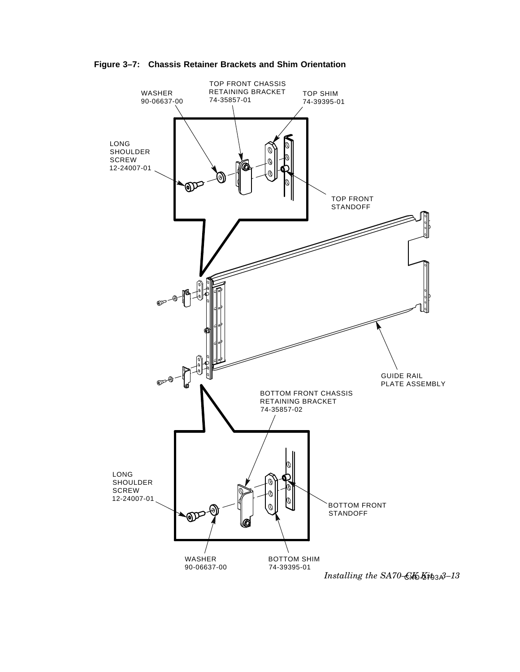



CXO-2793A *Installing the SA70–CK Kit 3–13*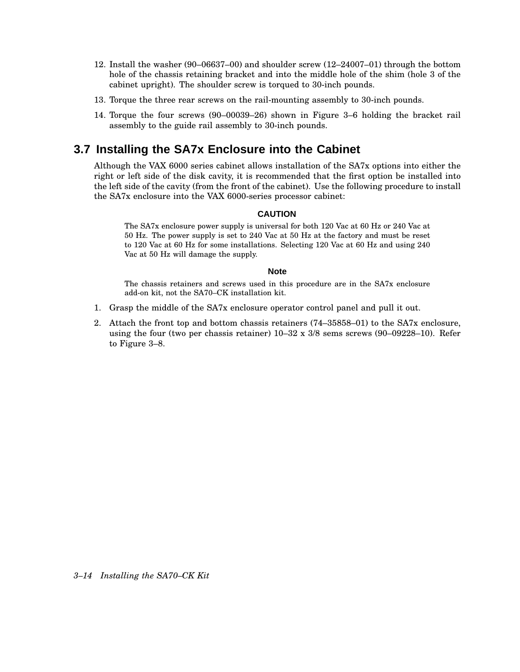- 12. Install the washer (90–06637–00) and shoulder screw (12–24007–01) through the bottom hole of the chassis retaining bracket and into the middle hole of the shim (hole 3 of the cabinet upright). The shoulder screw is torqued to 30-inch pounds.
- 13. Torque the three rear screws on the rail-mounting assembly to 30-inch pounds.
- 14. Torque the four screws (90–00039–26) shown in Figure 3–6 holding the bracket rail assembly to the guide rail assembly to 30-inch pounds.

## **3.7 Installing the SA7x Enclosure into the Cabinet**

Although the VAX 6000 series cabinet allows installation of the SA7x options into either the right or left side of the disk cavity, it is recommended that the first option be installed into the left side of the cavity (from the front of the cabinet). Use the following procedure to install the SA7x enclosure into the VAX 6000-series processor cabinet:

#### **CAUTION**

The SA7x enclosure power supply is universal for both 120 Vac at 60 Hz or 240 Vac at 50 Hz. The power supply is set to 240 Vac at 50 Hz at the factory and must be reset to 120 Vac at 60 Hz for some installations. Selecting 120 Vac at 60 Hz and using 240 Vac at 50 Hz will damage the supply.

#### **Note**

The chassis retainers and screws used in this procedure are in the SA7x enclosure add-on kit, not the SA70–CK installation kit.

- 1. Grasp the middle of the SA7x enclosure operator control panel and pull it out.
- 2. Attach the front top and bottom chassis retainers (74–35858–01) to the SA7x enclosure, using the four (two per chassis retainer)  $10-32 \times 3/8$  sems screws (90–09228–10). Refer to Figure 3–8.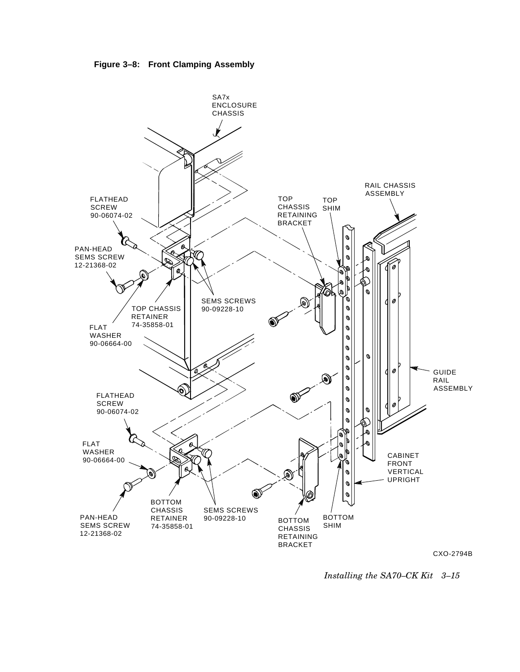



CXO-2794B

*Installing the SA70–CK Kit 3–15*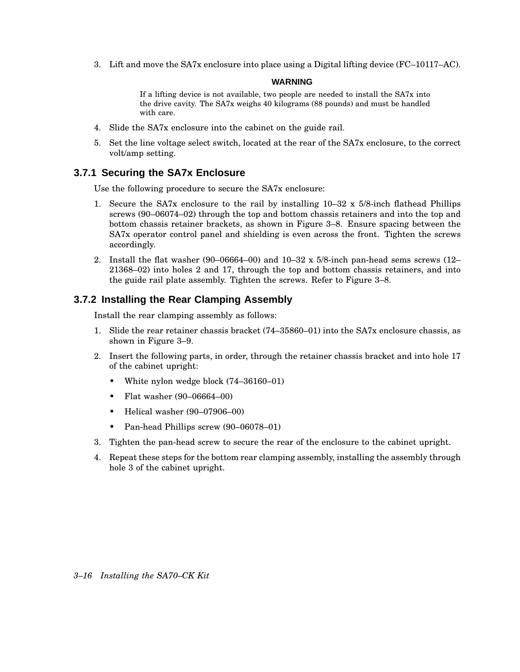3. Lift and move the SA7x enclosure into place using a Digital lifting device (FC–10117–AC).

#### **WARNING**

If a lifting device is not available, two people are needed to install the SA7x into the drive cavity. The SA7x weighs 40 kilograms (88 pounds) and must be handled with care.

- 4. Slide the SA7x enclosure into the cabinet on the guide rail.
- 5. Set the line voltage select switch, located at the rear of the SA7x enclosure, to the correct volt/amp setting.

### **3.7.1 Securing the SA7x Enclosure**

Use the following procedure to secure the SA7x enclosure:

- 1. Secure the SA7x enclosure to the rail by installing 10–32 x 5/8-inch flathead Phillips screws (90–06074–02) through the top and bottom chassis retainers and into the top and bottom chassis retainer brackets, as shown in Figure 3–8. Ensure spacing between the SA7x operator control panel and shielding is even across the front. Tighten the screws accordingly.
- 2. Install the flat washer (90–06664–00) and 10–32 x 5/8-inch pan-head sems screws (12– 21368–02) into holes 2 and 17, through the top and bottom chassis retainers, and into the guide rail plate assembly. Tighten the screws. Refer to Figure 3–8.

### **3.7.2 Installing the Rear Clamping Assembly**

Install the rear clamping assembly as follows:

- 1. Slide the rear retainer chassis bracket (74–35860–01) into the SA7x enclosure chassis, as shown in Figure 3–9.
- 2. Insert the following parts, in order, through the retainer chassis bracket and into hole 17 of the cabinet upright:
	- White nylon wedge block (74–36160–01)
	- Flat washer (90–06664–00)
	- Helical washer (90–07906–00)
	- Pan-head Phillips screw (90–06078–01)
- 3. Tighten the pan-head screw to secure the rear of the enclosure to the cabinet upright.
- 4. Repeat these steps for the bottom rear clamping assembly, installing the assembly through hole 3 of the cabinet upright.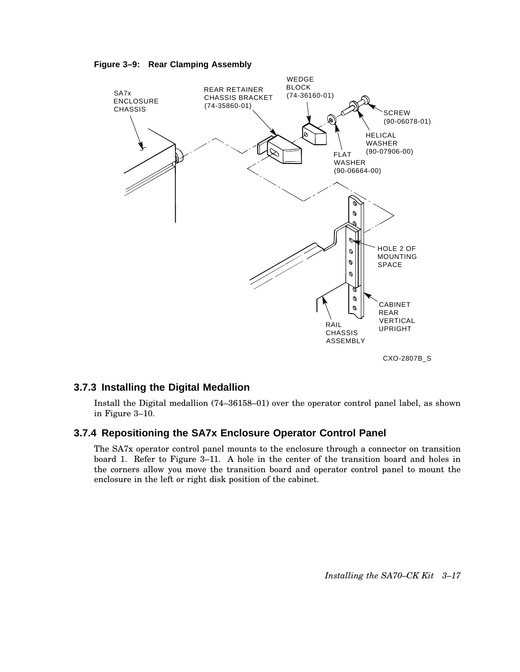



#### **3.7.3 Installing the Digital Medallion**

Install the Digital medallion (74–36158–01) over the operator control panel label, as shown in Figure 3–10.

### **3.7.4 Repositioning the SA7x Enclosure Operator Control Panel**

The SA7x operator control panel mounts to the enclosure through a connector on transition board 1. Refer to Figure 3–11. A hole in the center of the transition board and holes in the corners allow you move the transition board and operator control panel to mount the enclosure in the left or right disk position of the cabinet.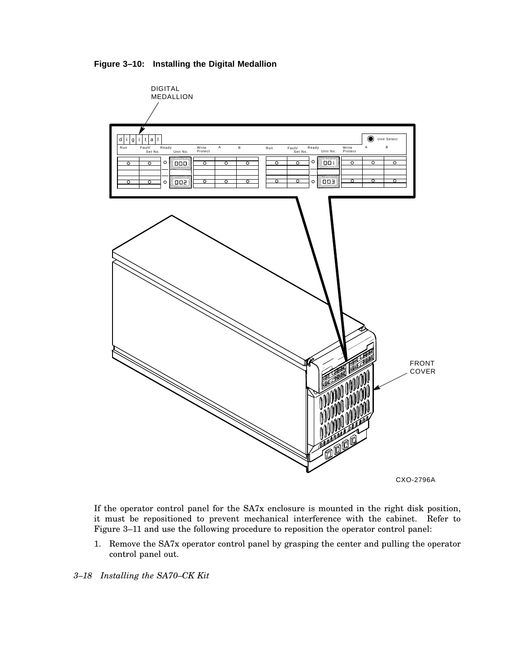**Figure 3–10: Installing the Digital Medallion**



CXO-2796A

If the operator control panel for the SA7x enclosure is mounted in the right disk position, it must be repositioned to prevent mechanical interference with the cabinet. Refer to Figure 3–11 and use the following procedure to reposition the operator control panel:

1. Remove the SA7x operator control panel by grasping the center and pulling the operator control panel out.

*3–18 Installing the SA70–CK Kit*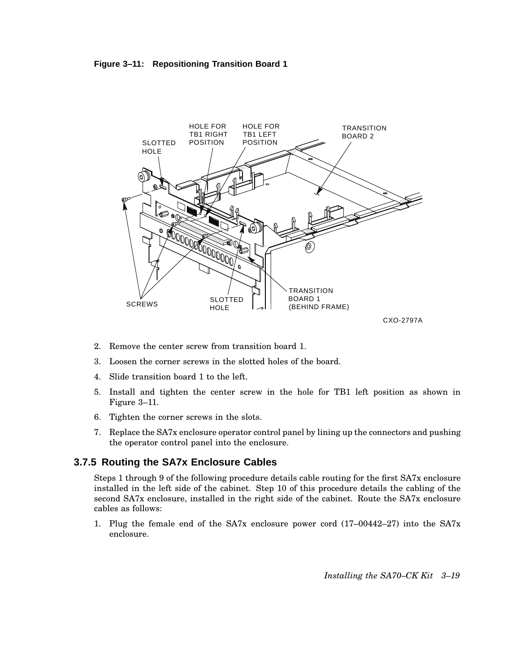#### **Figure 3–11: Repositioning Transition Board 1**



- 2. Remove the center screw from transition board 1.
- 3. Loosen the corner screws in the slotted holes of the board.
- 4. Slide transition board 1 to the left.
- 5. Install and tighten the center screw in the hole for TB1 left position as shown in Figure 3–11.
- 6. Tighten the corner screws in the slots.
- 7. Replace the SA7x enclosure operator control panel by lining up the connectors and pushing the operator control panel into the enclosure.

#### **3.7.5 Routing the SA7x Enclosure Cables**

Steps 1 through 9 of the following procedure details cable routing for the first SA7x enclosure installed in the left side of the cabinet. Step 10 of this procedure details the cabling of the second SA7x enclosure, installed in the right side of the cabinet. Route the SA7x enclosure cables as follows:

1. Plug the female end of the SA7x enclosure power cord (17–00442–27) into the SA7x enclosure.

*Installing the SA70–CK Kit 3–19*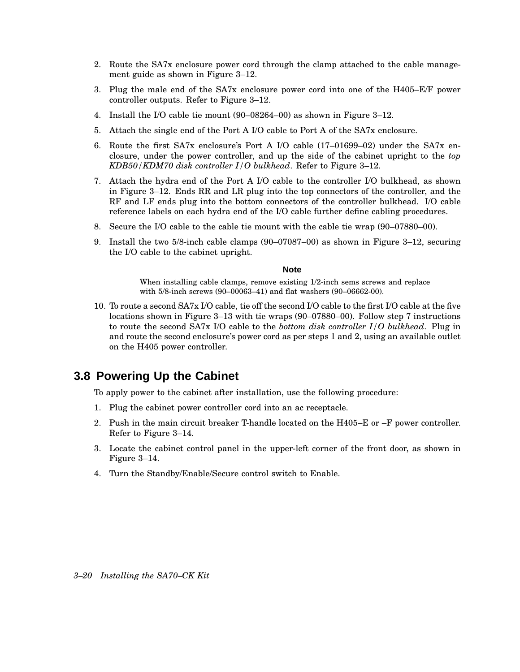- 2. Route the SA7x enclosure power cord through the clamp attached to the cable management guide as shown in Figure 3–12.
- 3. Plug the male end of the SA7x enclosure power cord into one of the H405–E/F power controller outputs. Refer to Figure 3–12.
- 4. Install the I/O cable tie mount (90–08264–00) as shown in Figure 3–12.
- 5. Attach the single end of the Port A I/O cable to Port A of the SA7x enclosure.
- 6. Route the first SA7x enclosure's Port A I/O cable (17–01699–02) under the SA7x enclosure, under the power controller, and up the side of the cabinet upright to the *top KDB50/KDM70 disk controller I/O bulkhead*. Refer to Figure 3–12.
- 7. Attach the hydra end of the Port A I/O cable to the controller I/O bulkhead, as shown in Figure 3–12. Ends RR and LR plug into the top connectors of the controller, and the RF and LF ends plug into the bottom connectors of the controller bulkhead. I/O cable reference labels on each hydra end of the I/O cable further define cabling procedures.
- 8. Secure the I/O cable to the cable tie mount with the cable tie wrap (90–07880–00).
- 9. Install the two 5/8-inch cable clamps (90–07087–00) as shown in Figure 3–12, securing the I/O cable to the cabinet upright.

#### **Note**

When installing cable clamps, remove existing 1/2-inch sems screws and replace with 5/8-inch screws (90–00063–41) and flat washers (90–06662-00).

10. To route a second SA7x I/O cable, tie off the second I/O cable to the first I/O cable at the five locations shown in Figure 3–13 with tie wraps (90–07880–00). Follow step 7 instructions to route the second SA7x I/O cable to the *bottom disk controller I/O bulkhead*. Plug in and route the second enclosure's power cord as per steps 1 and 2, using an available outlet on the H405 power controller.

## **3.8 Powering Up the Cabinet**

To apply power to the cabinet after installation, use the following procedure:

- 1. Plug the cabinet power controller cord into an ac receptacle.
- 2. Push in the main circuit breaker T-handle located on the H405–E or –F power controller. Refer to Figure 3–14.
- 3. Locate the cabinet control panel in the upper-left corner of the front door, as shown in Figure 3–14.
- 4. Turn the Standby/Enable/Secure control switch to Enable.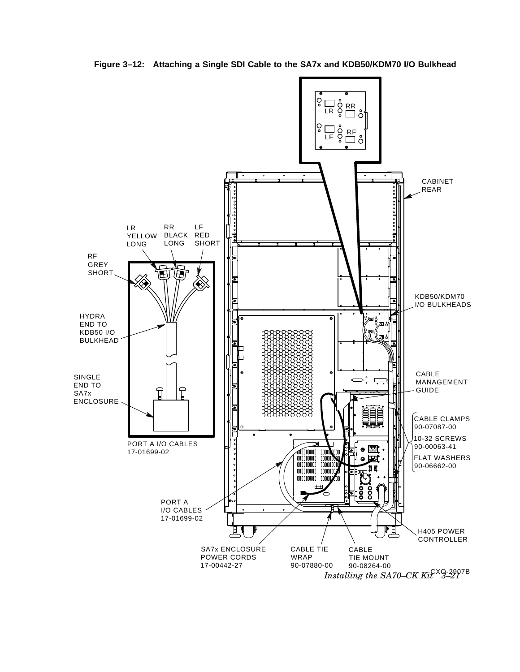

**Figure 3–12: Attaching a Single SDI Cable to the SA7x and KDB50/KDM70 I/O Bulkhead**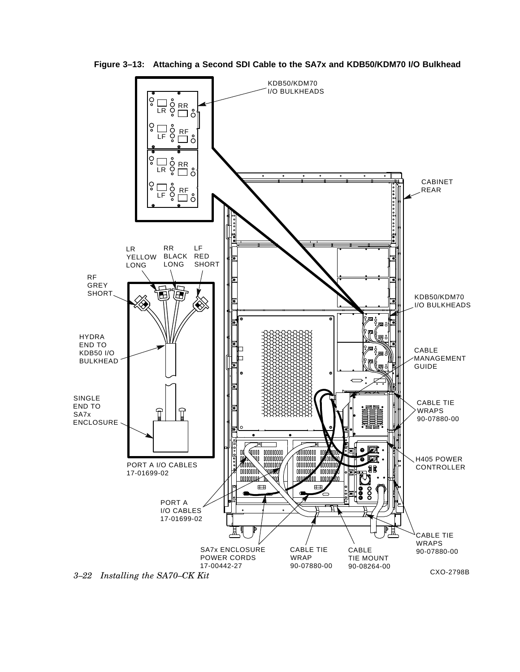

**Figure 3–13: Attaching a Second SDI Cable to the SA7x and KDB50/KDM70 I/O Bulkhead**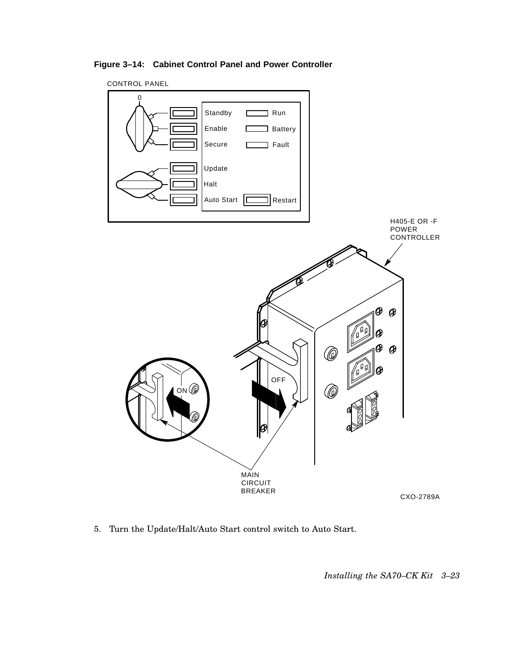**Figure 3–14: Cabinet Control Panel and Power Controller**



5. Turn the Update/Halt/Auto Start control switch to Auto Start.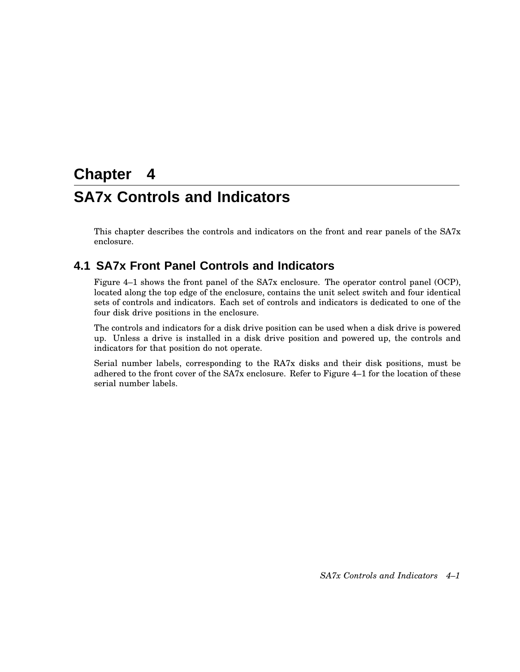# **Chapter 4**

# **SA7x Controls and Indicators**

This chapter describes the controls and indicators on the front and rear panels of the SA7x enclosure.

## **4.1 SA7x Front Panel Controls and Indicators**

Figure 4–1 shows the front panel of the SA7x enclosure. The operator control panel (OCP), located along the top edge of the enclosure, contains the unit select switch and four identical sets of controls and indicators. Each set of controls and indicators is dedicated to one of the four disk drive positions in the enclosure.

The controls and indicators for a disk drive position can be used when a disk drive is powered up. Unless a drive is installed in a disk drive position and powered up, the controls and indicators for that position do not operate.

Serial number labels, corresponding to the RA7x disks and their disk positions, must be adhered to the front cover of the SA7x enclosure. Refer to Figure 4–1 for the location of these serial number labels.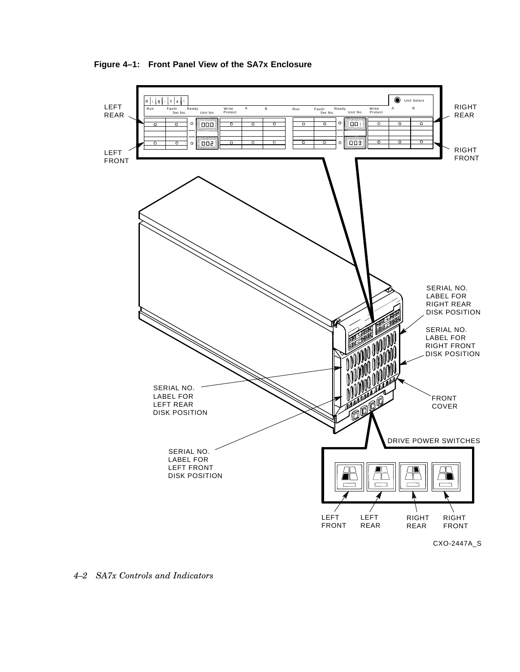



*4–2 SA7x Controls and Indicators*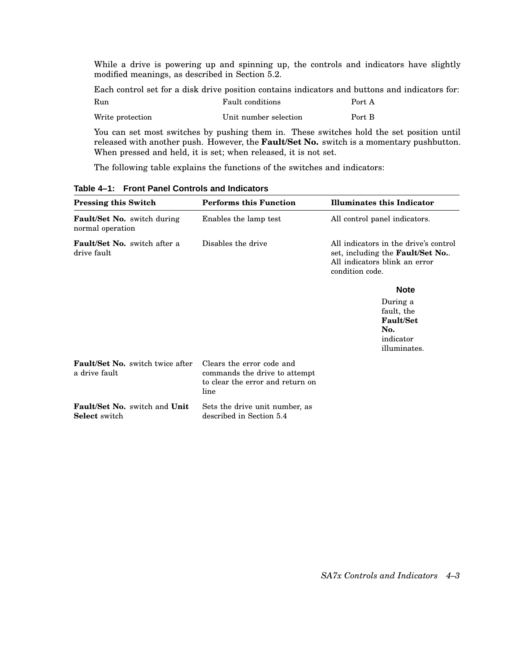While a drive is powering up and spinning up, the controls and indicators have slightly modified meanings, as described in Section 5.2.

Each control set for a disk drive position contains indicators and buttons and indicators for: Run **Fault conditions** Port A Write protection Unit number selection Port B

You can set most switches by pushing them in. These switches hold the set position until released with another push. However, the **Fault/Set No.** switch is a momentary pushbutton. When pressed and held, it is set; when released, it is not set.

The following table explains the functions of the switches and indicators:

| <b>Pressing this Switch</b>                                         | <b>Performs this Function</b>                                                                          | <b>Illuminates this Indicator</b>                                                                                            |  |  |
|---------------------------------------------------------------------|--------------------------------------------------------------------------------------------------------|------------------------------------------------------------------------------------------------------------------------------|--|--|
| <b>Fault/Set No.</b> switch during<br>normal operation              | Enables the lamp test                                                                                  | All control panel indicators.                                                                                                |  |  |
| <b>Fault/Set No.</b> switch after a<br>drive fault                  | Disables the drive                                                                                     | All indicators in the drive's control<br>set, including the Fault/Set No<br>All indicators blink an error<br>condition code. |  |  |
|                                                                     |                                                                                                        | <b>Note</b>                                                                                                                  |  |  |
|                                                                     |                                                                                                        | During a<br>fault, the<br><b>Fault/Set</b><br>No.<br>indicator<br>illuminates.                                               |  |  |
| <b>Fault/Set No.</b> switch twice after<br>a drive fault            | Clears the error code and<br>commands the drive to attempt<br>to clear the error and return on<br>line |                                                                                                                              |  |  |
| <b>Fault/Set No.</b> switch and <b>Unit</b><br><b>Select</b> switch | Sets the drive unit number, as<br>described in Section 5.4                                             |                                                                                                                              |  |  |

**Table 4–1: Front Panel Controls and Indicators**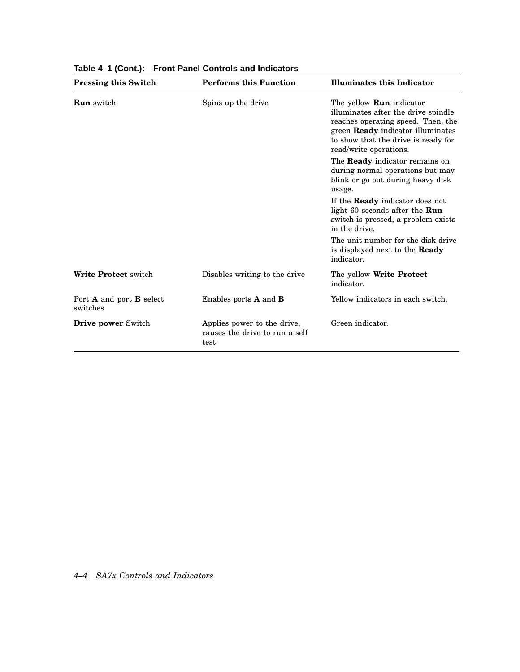| <b>Pressing this Switch</b>                        | <b>Performs this Function</b>                                         | <b>Illuminates this Indicator</b>                                                                                                                                                                                         |  |
|----------------------------------------------------|-----------------------------------------------------------------------|---------------------------------------------------------------------------------------------------------------------------------------------------------------------------------------------------------------------------|--|
| <b>Run</b> switch                                  | Spins up the drive                                                    | The yellow <b>Run</b> indicator<br>illuminates after the drive spindle<br>reaches operating speed. Then, the<br>green <b>Ready</b> indicator illuminates<br>to show that the drive is ready for<br>read/write operations. |  |
|                                                    |                                                                       | The <b>Ready</b> indicator remains on<br>during normal operations but may<br>blink or go out during heavy disk<br>usage.                                                                                                  |  |
|                                                    |                                                                       | If the <b>Ready</b> indicator does not<br>light 60 seconds after the Run<br>switch is pressed, a problem exists<br>in the drive.                                                                                          |  |
|                                                    |                                                                       | The unit number for the disk drive<br>is displayed next to the Ready<br>indicator.                                                                                                                                        |  |
| <b>Write Protect switch</b>                        | Disables writing to the drive                                         | The yellow Write Protect<br>indicator.                                                                                                                                                                                    |  |
| Port <b>A</b> and port <b>B</b> select<br>switches | Enables ports $A$ and $B$                                             | Yellow indicators in each switch.                                                                                                                                                                                         |  |
| <b>Drive power</b> Switch                          | Applies power to the drive,<br>causes the drive to run a self<br>test | Green indicator.                                                                                                                                                                                                          |  |

**Table 4–1 (Cont.): Front Panel Controls and Indicators**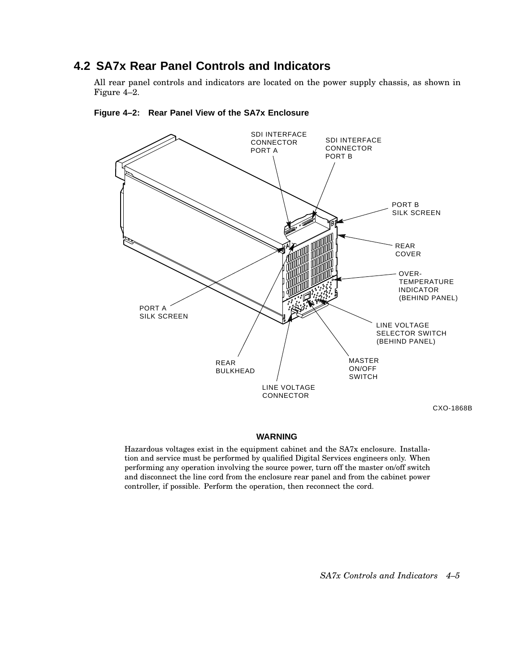## **4.2 SA7x Rear Panel Controls and Indicators**

All rear panel controls and indicators are located on the power supply chassis, as shown in Figure 4–2.



**Figure 4–2: Rear Panel View of the SA7x Enclosure**

#### **WARNING**

Hazardous voltages exist in the equipment cabinet and the SA7x enclosure. Installation and service must be performed by qualified Digital Services engineers only. When performing any operation involving the source power, turn off the master on/off switch and disconnect the line cord from the enclosure rear panel and from the cabinet power controller, if possible. Perform the operation, then reconnect the cord.

*SA7x Controls and Indicators 4–5*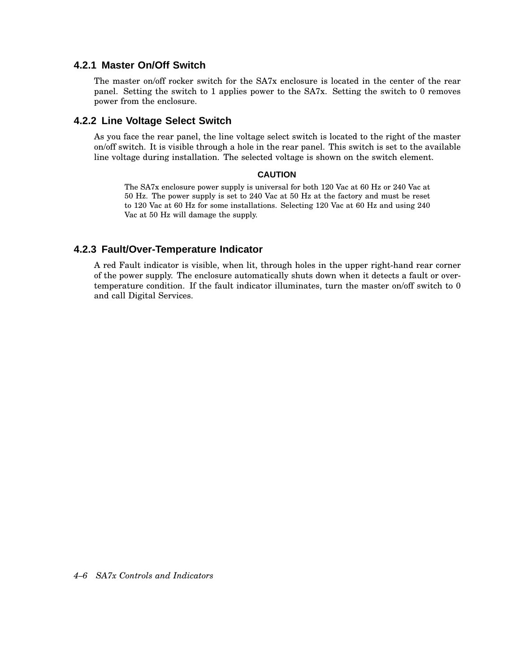### **4.2.1 Master On/Off Switch**

The master on/off rocker switch for the SA7x enclosure is located in the center of the rear panel. Setting the switch to 1 applies power to the SA7x. Setting the switch to 0 removes power from the enclosure.

#### **4.2.2 Line Voltage Select Switch**

As you face the rear panel, the line voltage select switch is located to the right of the master on/off switch. It is visible through a hole in the rear panel. This switch is set to the available line voltage during installation. The selected voltage is shown on the switch element.

#### **CAUTION**

The SA7x enclosure power supply is universal for both 120 Vac at 60 Hz or 240 Vac at 50 Hz. The power supply is set to 240 Vac at 50 Hz at the factory and must be reset to 120 Vac at 60 Hz for some installations. Selecting 120 Vac at 60 Hz and using 240 Vac at 50 Hz will damage the supply.

#### **4.2.3 Fault/Over-Temperature Indicator**

A red Fault indicator is visible, when lit, through holes in the upper right-hand rear corner of the power supply. The enclosure automatically shuts down when it detects a fault or overtemperature condition. If the fault indicator illuminates, turn the master on/off switch to 0 and call Digital Services.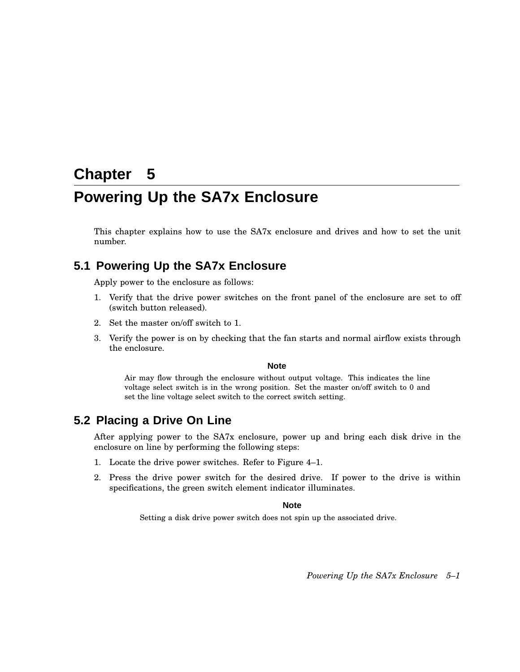# **Chapter 5**

# **Powering Up the SA7x Enclosure**

This chapter explains how to use the SA7x enclosure and drives and how to set the unit number.

## **5.1 Powering Up the SA7x Enclosure**

Apply power to the enclosure as follows:

- 1. Verify that the drive power switches on the front panel of the enclosure are set to off (switch button released).
- 2. Set the master on/off switch to 1.
- 3. Verify the power is on by checking that the fan starts and normal airflow exists through the enclosure.

#### **Note**

Air may flow through the enclosure without output voltage. This indicates the line voltage select switch is in the wrong position. Set the master on/off switch to 0 and set the line voltage select switch to the correct switch setting.

### **5.2 Placing a Drive On Line**

After applying power to the SA7x enclosure, power up and bring each disk drive in the enclosure on line by performing the following steps:

- 1. Locate the drive power switches. Refer to Figure 4–1.
- 2. Press the drive power switch for the desired drive. If power to the drive is within specifications, the green switch element indicator illuminates.

#### **Note**

Setting a disk drive power switch does not spin up the associated drive.

*Powering Up the SA7x Enclosure 5–1*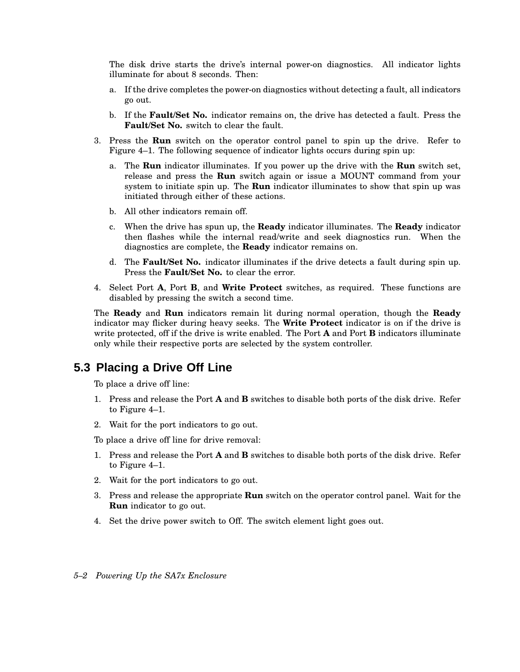The disk drive starts the drive's internal power-on diagnostics. All indicator lights illuminate for about 8 seconds. Then:

- a. If the drive completes the power-on diagnostics without detecting a fault, all indicators go out.
- b. If the **Fault/Set No.** indicator remains on, the drive has detected a fault. Press the **Fault/Set No.** switch to clear the fault.
- 3. Press the **Run** switch on the operator control panel to spin up the drive. Refer to Figure 4–1. The following sequence of indicator lights occurs during spin up:
	- a. The **Run** indicator illuminates. If you power up the drive with the **Run** switch set, release and press the **Run** switch again or issue a MOUNT command from your system to initiate spin up. The **Run** indicator illuminates to show that spin up was initiated through either of these actions.
	- b. All other indicators remain off.
	- c. When the drive has spun up, the **Ready** indicator illuminates. The **Ready** indicator then flashes while the internal read/write and seek diagnostics run. When the diagnostics are complete, the **Ready** indicator remains on.
	- d. The **Fault/Set No.** indicator illuminates if the drive detects a fault during spin up. Press the **Fault/Set No.** to clear the error.
- 4. Select Port **A**, Port **B**, and **Write Protect** switches, as required. These functions are disabled by pressing the switch a second time.

The **Ready** and **Run** indicators remain lit during normal operation, though the **Ready** indicator may flicker during heavy seeks. The **Write Protect** indicator is on if the drive is write protected, off if the drive is write enabled. The Port **A** and Port **B** indicators illuminate only while their respective ports are selected by the system controller.

## **5.3 Placing a Drive Off Line**

To place a drive off line:

- 1. Press and release the Port **A** and **B** switches to disable both ports of the disk drive. Refer to Figure 4–1.
- 2. Wait for the port indicators to go out.

To place a drive off line for drive removal:

- 1. Press and release the Port **A** and **B** switches to disable both ports of the disk drive. Refer to Figure 4–1.
- 2. Wait for the port indicators to go out.
- 3. Press and release the appropriate **Run** switch on the operator control panel. Wait for the **Run** indicator to go out.
- 4. Set the drive power switch to Off. The switch element light goes out.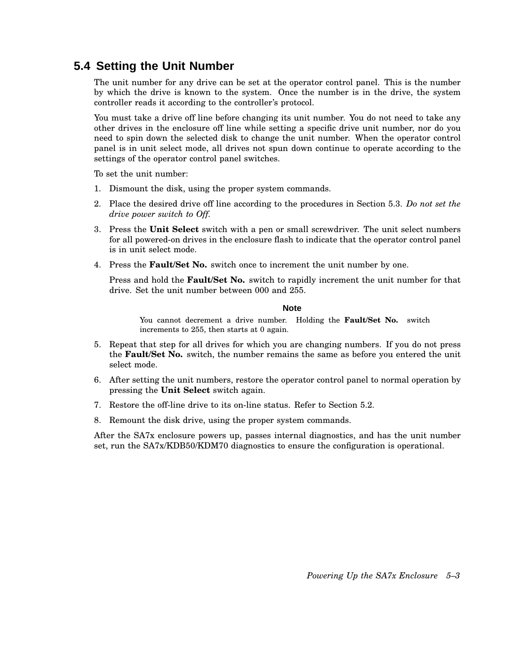# **5.4 Setting the Unit Number**

The unit number for any drive can be set at the operator control panel. This is the number by which the drive is known to the system. Once the number is in the drive, the system controller reads it according to the controller's protocol.

You must take a drive off line before changing its unit number. You do not need to take any other drives in the enclosure off line while setting a specific drive unit number, nor do you need to spin down the selected disk to change the unit number. When the operator control panel is in unit select mode, all drives not spun down continue to operate according to the settings of the operator control panel switches.

To set the unit number:

- 1. Dismount the disk, using the proper system commands.
- 2. Place the desired drive off line according to the procedures in Section 5.3. *Do not set the drive power switch to Off.*
- 3. Press the **Unit Select** switch with a pen or small screwdriver. The unit select numbers for all powered-on drives in the enclosure flash to indicate that the operator control panel is in unit select mode.
- 4. Press the **Fault/Set No.** switch once to increment the unit number by one.

Press and hold the **Fault/Set No.** switch to rapidly increment the unit number for that drive. Set the unit number between 000 and 255.

#### **Note**

You cannot decrement a drive number. Holding the **Fault/Set No.** switch increments to 255, then starts at 0 again.

- 5. Repeat that step for all drives for which you are changing numbers. If you do not press the **Fault/Set No.** switch, the number remains the same as before you entered the unit select mode.
- 6. After setting the unit numbers, restore the operator control panel to normal operation by pressing the **Unit Select** switch again.
- 7. Restore the off-line drive to its on-line status. Refer to Section 5.2.
- 8. Remount the disk drive, using the proper system commands.

After the SA7x enclosure powers up, passes internal diagnostics, and has the unit number set, run the SA7x/KDB50/KDM70 diagnostics to ensure the configuration is operational.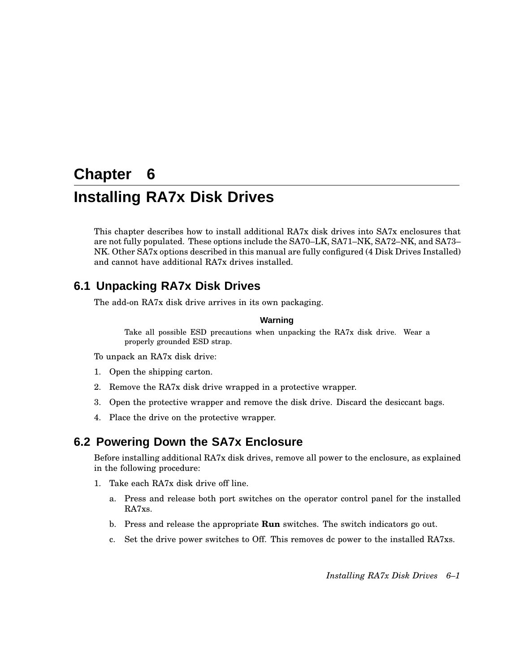# **Chapter 6 Installing RA7x Disk Drives**

This chapter describes how to install additional RA7x disk drives into SA7x enclosures that are not fully populated. These options include the SA70–LK, SA71–NK, SA72–NK, and SA73– NK. Other SA7x options described in this manual are fully configured (4 Disk Drives Installed) and cannot have additional RA7x drives installed.

## **6.1 Unpacking RA7x Disk Drives**

The add-on RA7x disk drive arrives in its own packaging.

#### **Warning**

Take all possible ESD precautions when unpacking the RA7x disk drive. Wear a properly grounded ESD strap.

To unpack an RA7x disk drive:

- 1. Open the shipping carton.
- 2. Remove the RA7x disk drive wrapped in a protective wrapper.
- 3. Open the protective wrapper and remove the disk drive. Discard the desiccant bags.
- 4. Place the drive on the protective wrapper.

## **6.2 Powering Down the SA7x Enclosure**

Before installing additional RA7x disk drives, remove all power to the enclosure, as explained in the following procedure:

- 1. Take each RA7x disk drive off line.
	- a. Press and release both port switches on the operator control panel for the installed RA7xs.
	- b. Press and release the appropriate **Run** switches. The switch indicators go out.
	- c. Set the drive power switches to Off. This removes dc power to the installed RA7xs.

*Installing RA7x Disk Drives 6–1*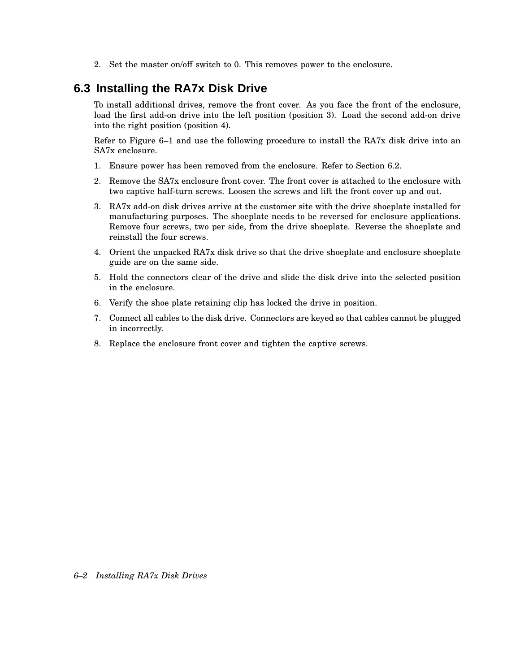2. Set the master on/off switch to 0. This removes power to the enclosure.

## **6.3 Installing the RA7x Disk Drive**

To install additional drives, remove the front cover. As you face the front of the enclosure, load the first add-on drive into the left position (position 3). Load the second add-on drive into the right position (position 4).

Refer to Figure 6–1 and use the following procedure to install the RA7x disk drive into an SA7x enclosure.

- 1. Ensure power has been removed from the enclosure. Refer to Section 6.2.
- 2. Remove the SA7x enclosure front cover. The front cover is attached to the enclosure with two captive half-turn screws. Loosen the screws and lift the front cover up and out.
- 3. RA7x add-on disk drives arrive at the customer site with the drive shoeplate installed for manufacturing purposes. The shoeplate needs to be reversed for enclosure applications. Remove four screws, two per side, from the drive shoeplate. Reverse the shoeplate and reinstall the four screws.
- 4. Orient the unpacked RA7x disk drive so that the drive shoeplate and enclosure shoeplate guide are on the same side.
- 5. Hold the connectors clear of the drive and slide the disk drive into the selected position in the enclosure.
- 6. Verify the shoe plate retaining clip has locked the drive in position.
- 7. Connect all cables to the disk drive. Connectors are keyed so that cables cannot be plugged in incorrectly.
- 8. Replace the enclosure front cover and tighten the captive screws.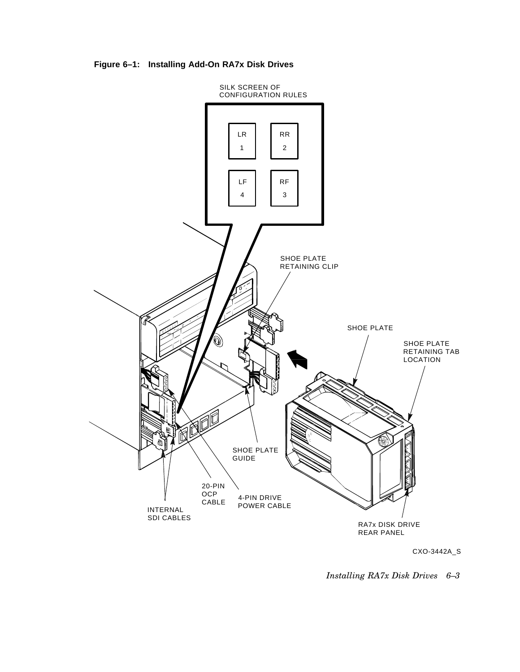**Figure 6–1: Installing Add-On RA7x Disk Drives**



CXO-3442A\_S

*Installing RA7x Disk Drives 6–3*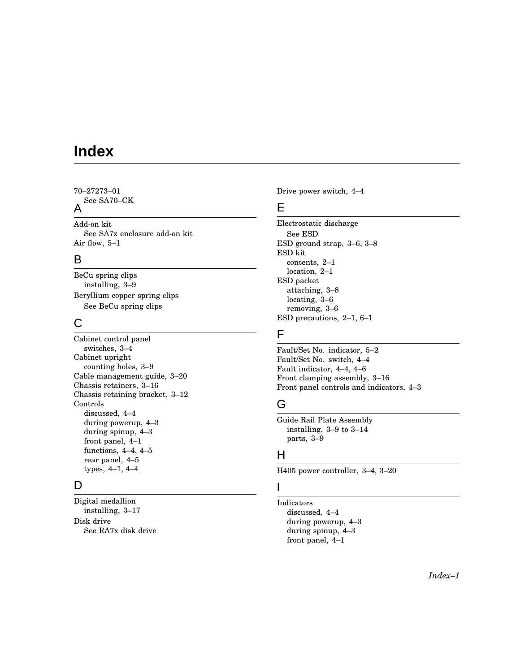# **Index**

70–27273–01 See SA70–CK

## A

Add-on kit See SA7x enclosure add-on kit Air flow, 5–1

## B

BeCu spring clips installing, 3–9 Beryllium copper spring clips See BeCu spring clips

## C

Cabinet control panel switches, 3–4 Cabinet upright counting holes, 3–9 Cable management guide, 3–20 Chassis retainers, 3–16 Chassis retaining bracket, 3–12 Controls discussed, 4–4 during powerup, 4–3 during spinup, 4–3 front panel, 4–1 functions, 4–4, 4–5 rear panel, 4–5 types, 4–1, 4–4

## D

Digital medallion installing, 3–17 Disk drive See RA7x disk drive Drive power switch, 4–4

### E

Electrostatic discharge See ESD ESD ground strap, 3–6, 3–8 ESD kit contents, 2–1 location, 2–1 ESD packet attaching, 3–8 locating, 3–6 removing, 3–6 ESD precautions, 2–1, 6–1

## F

Fault/Set No. indicator, 5–2 Fault/Set No. switch, 4–4 Fault indicator, 4–4, 4–6 Front clamping assembly, 3–16 Front panel controls and indicators, 4–3

# G

Guide Rail Plate Assembly installing, 3–9 to 3–14 parts, 3–9

## H

H405 power controller, 3–4, 3–20

## I

Indicators discussed, 4–4 during powerup, 4–3 during spinup, 4–3 front panel, 4–1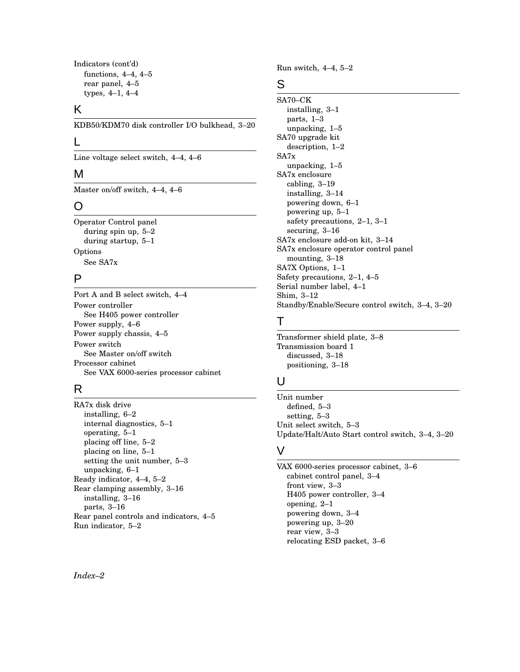```
Indicators (cont'd)
functions, 4–4, 4–5
rear panel, 4–5
types, 4–1, 4–4
```
### K

KDB50/KDM70 disk controller I/O bulkhead, 3–20

#### L

Line voltage select switch, 4–4, 4–6

### M

Master on/off switch, 4–4, 4–6

## O

Operator Control panel during spin up, 5–2 during startup, 5–1 Options See SA7x

## P

Port A and B select switch, 4–4 Power controller See H405 power controller Power supply, 4–6 Power supply chassis, 4–5 Power switch See Master on/off switch Processor cabinet See VAX 6000-series processor cabinet

## R

RA7x disk drive installing, 6–2 internal diagnostics, 5–1 operating, 5–1 placing off line, 5–2 placing on line, 5–1 setting the unit number, 5–3 unpacking, 6–1 Ready indicator, 4–4, 5–2 Rear clamping assembly, 3–16 installing, 3–16 parts, 3–16 Rear panel controls and indicators, 4–5 Run indicator, 5–2

Run switch, 4–4, 5–2

### S

SA70–CK installing, 3–1 parts, 1–3 unpacking, 1–5 SA70 upgrade kit description, 1–2 SA7x unpacking, 1–5 SA7x enclosure cabling, 3–19 installing, 3–14 powering down, 6–1 powering up, 5–1 safety precautions, 2–1, 3–1 securing, 3–16 SA7x enclosure add-on kit, 3–14 SA7x enclosure operator control panel mounting, 3–18 SA7X Options, 1–1 Safety precautions, 2–1, 4–5 Serial number label, 4–1 Shim, 3–12 Standby/Enable/Secure control switch, 3–4, 3–20

## T

Transformer shield plate, 3–8 Transmission board 1 discussed, 3–18 positioning, 3–18

## U

Unit number defined, 5–3 setting, 5–3 Unit select switch, 5–3 Update/Halt/Auto Start control switch, 3–4, 3–20

### V

VAX 6000-series processor cabinet, 3–6 cabinet control panel, 3–4 front view, 3–3 H405 power controller, 3–4 opening, 2–1 powering down, 3–4 powering up, 3–20 rear view, 3–3 relocating ESD packet, 3–6